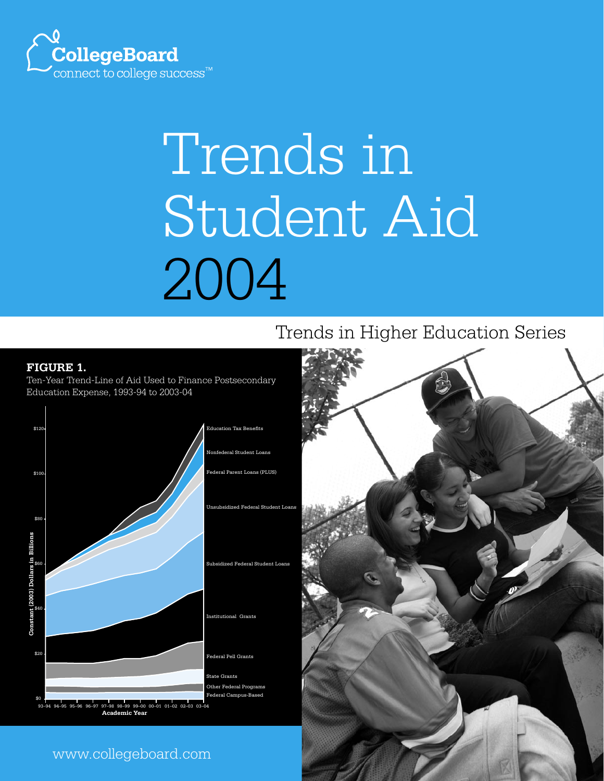

# Trends in Student Aid 2004

# Trends in Higher Education Series

#### **FIGURE 1.**

Ten-Year Trend-Line of Aid Used to Finance Postsecondary Education Expense, 1993-94 to 2003-04



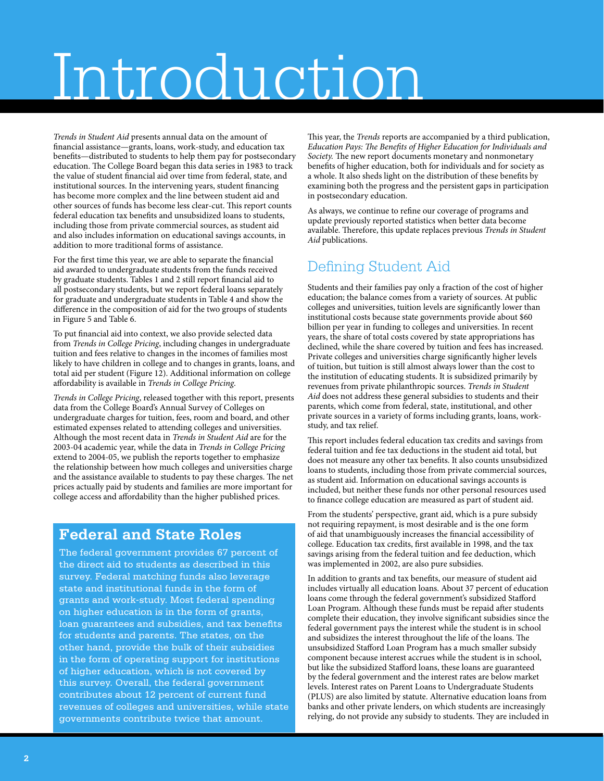# Introduction

*Trends in Student Aid* presents annual data on the amount of financial assistance—grants, loans, work-study, and education tax benefits—distributed to students to help them pay for postsecondary education. The College Board began this data series in 1983 to track the value of student financial aid over time from federal, state, and institutional sources. In the intervening years, student financing has become more complex and the line between student aid and other sources of funds has become less clear-cut. This report counts federal education tax benefits and unsubsidized loans to students, including those from private commercial sources, as student aid and also includes information on educational savings accounts, in addition to more traditional forms of assistance.

For the first time this year, we are able to separate the financial aid awarded to undergraduate students from the funds received by graduate students. Tables 1 and 2 still report financial aid to all postsecondary students, but we report federal loans separately for graduate and undergraduate students in Table 4 and show the difference in the composition of aid for the two groups of students in Figure 5 and Table 6.

To put financial aid into context, we also provide selected data from *Trends in College Pricing*, including changes in undergraduate tuition and fees relative to changes in the incomes of families most likely to have children in college and to changes in grants, loans, and total aid per student (Figure 12). Additional information on college affordability is available in *Trends in College Pricing*.

*Trends in College Pricing*, released together with this report, presents data from the College Board's Annual Survey of Colleges on undergraduate charges for tuition, fees, room and board, and other estimated expenses related to attending colleges and universities. Although the most recent data in *Trends in Student Aid* are for the 2003-04 academic year, while the data in *Trends in College Pricing*  extend to 2004-05, we publish the reports together to emphasize the relationship between how much colleges and universities charge and the assistance available to students to pay these charges. The net prices actually paid by students and families are more important for college access and affordability than the higher published prices.

# **Federal and State Roles**

The federal government provides 67 percent of the direct aid to students as described in this survey. Federal matching funds also leverage state and institutional funds in the form of grants and work-study. Most federal spending on higher education is in the form of grants, loan guarantees and subsidies, and tax benefits for students and parents. The states, on the other hand, provide the bulk of their subsidies in the form of operating support for institutions of higher education, which is not covered by this survey. Overall, the federal government contributes about 12 percent of current fund revenues of colleges and universities, while state governments contribute twice that amount.

This year, the *Trends* reports are accompanied by a third publication, *Education Pays: The Benefits of Higher Education for Individuals and Society.* The new report documents monetary and nonmonetary benefits of higher education, both for individuals and for society as a whole. It also sheds light on the distribution of these benefits by examining both the progress and the persistent gaps in participation in postsecondary education.

As always, we continue to refine our coverage of programs and update previously reported statistics when better data become available. Therefore, this update replaces previous *Trends in Student Aid* publications.

# Defining Student Aid

Students and their families pay only a fraction of the cost of higher education; the balance comes from a variety of sources. At public colleges and universities, tuition levels are significantly lower than institutional costs because state governments provide about \$60 billion per year in funding to colleges and universities. In recent years, the share of total costs covered by state appropriations has declined, while the share covered by tuition and fees has increased. Private colleges and universities charge significantly higher levels of tuition, but tuition is still almost always lower than the cost to the institution of educating students. It is subsidized primarily by revenues from private philanthropic sources. *Trends in Student Aid* does not address these general subsidies to students and their parents, which come from federal, state, institutional, and other private sources in a variety of forms including grants, loans, workstudy, and tax relief.

This report includes federal education tax credits and savings from federal tuition and fee tax deductions in the student aid total, but does not measure any other tax benefits. It also counts unsubsidized loans to students, including those from private commercial sources, as student aid. Information on educational savings accounts is included, but neither these funds nor other personal resources used to finance college education are measured as part of student aid.

From the students' perspective, grant aid, which is a pure subsidy not requiring repayment, is most desirable and is the one form of aid that unambiguously increases the financial accessibility of college. Education tax credits, first available in 1998, and the tax savings arising from the federal tuition and fee deduction, which was implemented in 2002, are also pure subsidies.

In addition to grants and tax benefits, our measure of student aid includes virtually all education loans. About 37 percent of education loans come through the federal government's subsidized Stafford Loan Program. Although these funds must be repaid after students complete their education, they involve significant subsidies since the federal government pays the interest while the student is in school and subsidizes the interest throughout the life of the loans. The unsubsidized Stafford Loan Program has a much smaller subsidy component because interest accrues while the student is in school, but like the subsidized Stafford loans, these loans are guaranteed by the federal government and the interest rates are below market levels. Interest rates on Parent Loans to Undergraduate Students (PLUS) are also limited by statute. Alternative education loans from banks and other private lenders, on which students are increasingly relying, do not provide any subsidy to students. They are included in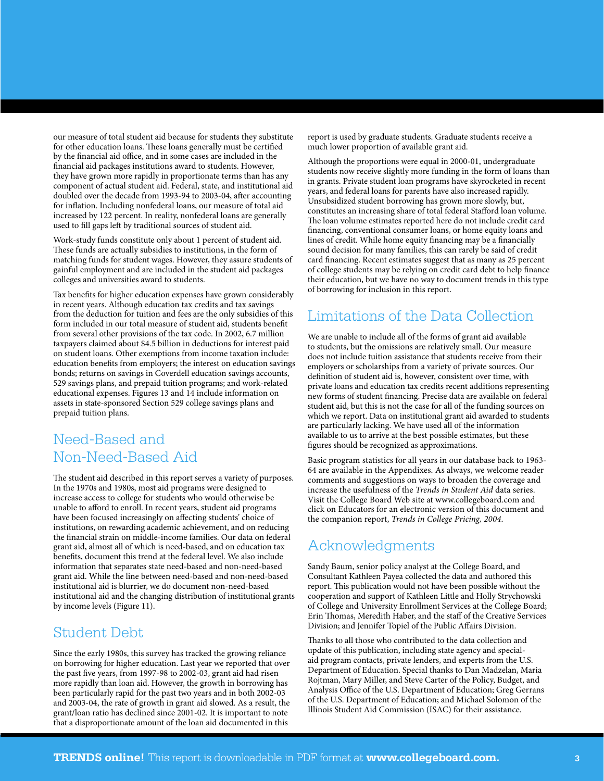our measure of total student aid because for students they substitute for other education loans. These loans generally must be certified by the financial aid office, and in some cases are included in the financial aid packages institutions award to students. However, they have grown more rapidly in proportionate terms than has any component of actual student aid. Federal, state, and institutional aid doubled over the decade from 1993-94 to 2003-04, after accounting for inflation. Including nonfederal loans, our measure of total aid increased by 122 percent. In reality, nonfederal loans are generally used to fill gaps left by traditional sources of student aid.

Work-study funds constitute only about 1 percent of student aid. These funds are actually subsidies to institutions, in the form of matching funds for student wages. However, they assure students of gainful employment and are included in the student aid packages colleges and universities award to students.

Tax benefits for higher education expenses have grown considerably in recent years. Although education tax credits and tax savings from the deduction for tuition and fees are the only subsidies of this form included in our total measure of student aid, students benefit from several other provisions of the tax code. In 2002, 6.7 million taxpayers claimed about \$4.5 billion in deductions for interest paid on student loans. Other exemptions from income taxation include: education benefits from employers; the interest on education savings bonds; returns on savings in Coverdell education savings accounts, 529 savings plans, and prepaid tuition programs; and work-related educational expenses. Figures 13 and 14 include information on assets in state-sponsored Section 529 college savings plans and prepaid tuition plans.

# Need-Based and Non-Need-Based Aid

The student aid described in this report serves a variety of purposes. In the 1970s and 1980s, most aid programs were designed to increase access to college for students who would otherwise be unable to afford to enroll. In recent years, student aid programs have been focused increasingly on affecting students' choice of institutions, on rewarding academic achievement, and on reducing the financial strain on middle-income families. Our data on federal grant aid, almost all of which is need-based, and on education tax benefits, document this trend at the federal level. We also include information that separates state need-based and non-need-based grant aid. While the line between need-based and non-need-based institutional aid is blurrier, we do document non-need-based institutional aid and the changing distribution of institutional grants by income levels (Figure 11).

## Student Debt

Since the early 1980s, this survey has tracked the growing reliance on borrowing for higher education. Last year we reported that over the past five years, from 1997-98 to 2002-03, grant aid had risen more rapidly than loan aid. However, the growth in borrowing has been particularly rapid for the past two years and in both 2002-03 and 2003-04, the rate of growth in grant aid slowed. As a result, the grant/loan ratio has declined since 2001-02. It is important to note that a disproportionate amount of the loan aid documented in this

report is used by graduate students. Graduate students receive a much lower proportion of available grant aid.

Although the proportions were equal in 2000-01, undergraduate students now receive slightly more funding in the form of loans than in grants. Private student loan programs have skyrocketed in recent years, and federal loans for parents have also increased rapidly. Unsubsidized student borrowing has grown more slowly, but, constitutes an increasing share of total federal Stafford loan volume. The loan volume estimates reported here do not include credit card financing, conventional consumer loans, or home equity loans and lines of credit. While home equity financing may be a financially sound decision for many families, this can rarely be said of credit card financing. Recent estimates suggest that as many as 25 percent of college students may be relying on credit card debt to help finance their education, but we have no way to document trends in this type of borrowing for inclusion in this report.

# Limitations of the Data Collection

We are unable to include all of the forms of grant aid available to students, but the omissions are relatively small. Our measure does not include tuition assistance that students receive from their employers or scholarships from a variety of private sources. Our definition of student aid is, however, consistent over time, with private loans and education tax credits recent additions representing new forms of student financing. Precise data are available on federal student aid, but this is not the case for all of the funding sources on which we report. Data on institutional grant aid awarded to students are particularly lacking. We have used all of the information available to us to arrive at the best possible estimates, but these figures should be recognized as approximations.

Basic program statistics for all years in our database back to 1963- 64 are available in the Appendixes. As always, we welcome reader comments and suggestions on ways to broaden the coverage and increase the usefulness of the *Trends in Student Aid* data series. Visit the College Board Web site at www.collegeboard.com and click on Educators for an electronic version of this document and the companion report, *Trends in College Pricing, 2004*.

# Acknowledgments

Sandy Baum, senior policy analyst at the College Board, and Consultant Kathleen Payea collected the data and authored this report. This publication would not have been possible without the cooperation and support of Kathleen Little and Holly Strychowski of College and University Enrollment Services at the College Board; Erin Thomas, Meredith Haber, and the staff of the Creative Services Division; and Jennifer Topiel of the Public Affairs Division.

Thanks to all those who contributed to the data collection and update of this publication, including state agency and specialaid program contacts, private lenders, and experts from the U.S. Department of Education. Special thanks to Dan Madzelan, Maria Rojtman, Mary Miller, and Steve Carter of the Policy, Budget, and Analysis Office of the U.S. Department of Education; Greg Gerrans of the U.S. Department of Education; and Michael Solomon of the Illinois Student Aid Commission (ISAC) for their assistance.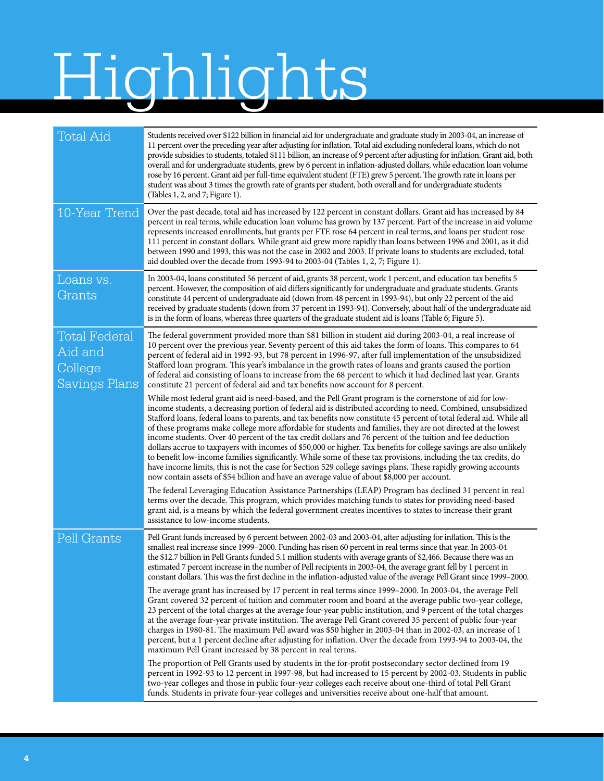# Highlights

| <b>Total Aid</b>                                            | Students received over \$122 billion in financial aid for undergraduate and graduate study in 2003-04, an increase of<br>11 percent over the preceding year after adjusting for inflation. Total aid excluding nonfederal loans, which do not<br>provide subsidies to students, totaled \$111 billion, an increase of 9 percent after adjusting for inflation. Grant aid, both<br>overall and for undergraduate students, grew by 6 percent in inflation-adjusted dollars, while education loan volume<br>rose by 16 percent. Grant aid per full-time equivalent student (FTE) grew 5 percent. The growth rate in loans per<br>student was about 3 times the growth rate of grants per student, both overall and for undergraduate students<br>(Tables 1, 2, and 7; Figure 1).                                                                                                                                                                                                                                                             |
|-------------------------------------------------------------|--------------------------------------------------------------------------------------------------------------------------------------------------------------------------------------------------------------------------------------------------------------------------------------------------------------------------------------------------------------------------------------------------------------------------------------------------------------------------------------------------------------------------------------------------------------------------------------------------------------------------------------------------------------------------------------------------------------------------------------------------------------------------------------------------------------------------------------------------------------------------------------------------------------------------------------------------------------------------------------------------------------------------------------------|
| 10-Year Trend                                               | Over the past decade, total aid has increased by 122 percent in constant dollars. Grant aid has increased by 84<br>percent in real terms, while education loan volume has grown by 137 percent. Part of the increase in aid volume<br>represents increased enrollments, but grants per FTE rose 64 percent in real terms, and loans per student rose<br>111 percent in constant dollars. While grant aid grew more rapidly than loans between 1996 and 2001, as it did<br>between 1990 and 1993, this was not the case in 2002 and 2003. If private loans to students are excluded, total<br>aid doubled over the decade from 1993-94 to 2003-04 (Tables 1, 2, 7; Figure 1).                                                                                                                                                                                                                                                                                                                                                               |
| Loans vs.<br>Grants                                         | In 2003-04, loans constituted 56 percent of aid, grants 38 percent, work 1 percent, and education tax benefits 5<br>percent. However, the composition of aid differs significantly for undergraduate and graduate students. Grants<br>constitute 44 percent of undergraduate aid (down from 48 percent in 1993-94), but only 22 percent of the aid<br>received by graduate students (down from 37 percent in 1993-94). Conversely, about half of the undergraduate aid<br>is in the form of loans, whereas three quarters of the graduate student aid is loans (Table 6; Figure 5).                                                                                                                                                                                                                                                                                                                                                                                                                                                        |
| <b>Total Federal</b><br>Aid and<br>College<br>Savings Plans | The federal government provided more than \$81 billion in student aid during 2003-04, a real increase of<br>10 percent over the previous year. Seventy percent of this aid takes the form of loans. This compares to 64<br>percent of federal aid in 1992-93, but 78 percent in 1996-97, after full implementation of the unsubsidized<br>Stafford loan program. This year's imbalance in the growth rates of loans and grants caused the portion<br>of federal aid consisting of loans to increase from the 68 percent to which it had declined last year. Grants<br>constitute 21 percent of federal aid and tax benefits now account for 8 percent.                                                                                                                                                                                                                                                                                                                                                                                     |
|                                                             | While most federal grant aid is need-based, and the Pell Grant program is the cornerstone of aid for low-<br>income students, a decreasing portion of federal aid is distributed according to need. Combined, unsubsidized<br>Stafford loans, federal loans to parents, and tax benefits now constitute 45 percent of total federal aid. While all<br>of these programs make college more affordable for students and families, they are not directed at the lowest<br>income students. Over 40 percent of the tax credit dollars and 76 percent of the tuition and fee deduction<br>dollars accrue to taxpayers with incomes of \$50,000 or higher. Tax benefits for college savings are also unlikely<br>to benefit low-income families significantly. While some of these tax provisions, including the tax credits, do<br>have income limits, this is not the case for Section 529 college savings plans. These rapidly growing accounts<br>now contain assets of \$54 billion and have an average value of about \$8,000 per account. |
|                                                             | The federal Leveraging Education Assistance Partnerships (LEAP) Program has declined 31 percent in real<br>terms over the decade. This program, which provides matching funds to states for providing need-based<br>grant aid, is a means by which the federal government creates incentives to states to increase their grant<br>assistance to low-income students.                                                                                                                                                                                                                                                                                                                                                                                                                                                                                                                                                                                                                                                                       |
| Pell Grants                                                 | Pell Grant funds increased by 6 percent between 2002-03 and 2003-04, after adjusting for inflation. This is the<br>smallest real increase since 1999–2000. Funding has risen 60 percent in real terms since that year. In 2003-04<br>the \$12.7 billion in Pell Grants funded 5.1 million students with average grants of \$2,466. Because there was an<br>estimated 7 percent increase in the number of Pell recipients in 2003-04, the average grant fell by 1 percent in<br>constant dollars. This was the first decline in the inflation-adjusted value of the average Pell Grant since 1999–2000.                                                                                                                                                                                                                                                                                                                                                                                                                                     |
|                                                             | The average grant has increased by 17 percent in real terms since 1999-2000. In 2003-04, the average Pell<br>Grant covered 32 percent of tuition and commuter room and board at the average public two-year college,<br>23 percent of the total charges at the average four-year public institution, and 9 percent of the total charges<br>at the average four-year private institution. The average Pell Grant covered 35 percent of public four-year<br>charges in 1980-81. The maximum Pell award was \$50 higher in 2003-04 than in 2002-03, an increase of 1<br>percent, but a 1 percent decline after adjusting for inflation. Over the decade from 1993-94 to 2003-04, the<br>maximum Pell Grant increased by 38 percent in real terms.                                                                                                                                                                                                                                                                                             |
|                                                             | The proportion of Pell Grants used by students in the for-profit postsecondary sector declined from 19<br>percent in 1992-93 to 12 percent in 1997-98, but had increased to 15 percent by 2002-03. Students in public<br>two-year colleges and those in public four-year colleges each receive about one-third of total Pell Grant<br>funds. Students in private four-year colleges and universities receive about one-half that amount.                                                                                                                                                                                                                                                                                                                                                                                                                                                                                                                                                                                                   |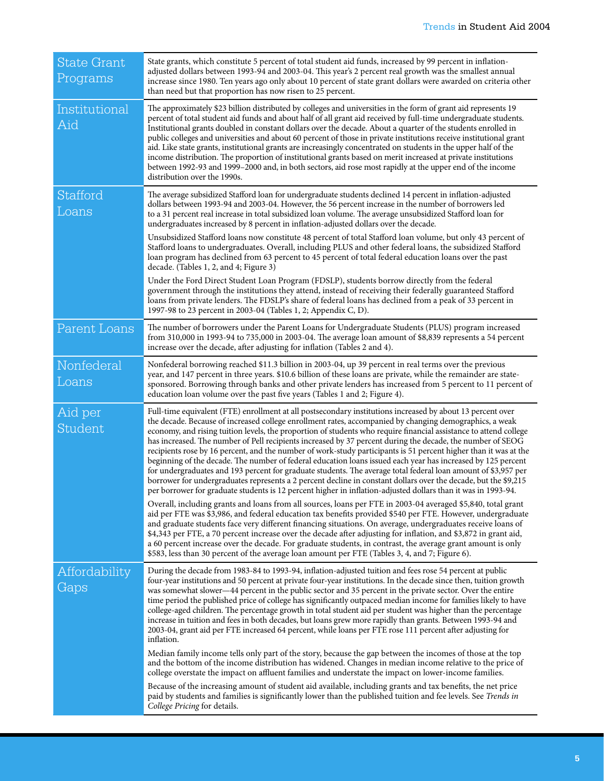| <b>State Grant</b><br>Programs | State grants, which constitute 5 percent of total student aid funds, increased by 99 percent in inflation-<br>adjusted dollars between 1993-94 and 2003-04. This year's 2 percent real growth was the smallest annual<br>increase since 1980. Ten years ago only about 10 percent of state grant dollars were awarded on criteria other<br>than need but that proportion has now risen to 25 percent.                                                                                                                                                                                                                                                                                                                                                                                                                                                                                                                                                                                                                                              |
|--------------------------------|----------------------------------------------------------------------------------------------------------------------------------------------------------------------------------------------------------------------------------------------------------------------------------------------------------------------------------------------------------------------------------------------------------------------------------------------------------------------------------------------------------------------------------------------------------------------------------------------------------------------------------------------------------------------------------------------------------------------------------------------------------------------------------------------------------------------------------------------------------------------------------------------------------------------------------------------------------------------------------------------------------------------------------------------------|
| Institutional<br>Aid           | The approximately \$23 billion distributed by colleges and universities in the form of grant aid represents 19<br>percent of total student aid funds and about half of all grant aid received by full-time undergraduate students.<br>Institutional grants doubled in constant dollars over the decade. About a quarter of the students enrolled in<br>public colleges and universities and about 60 percent of those in private institutions receive institutional grant<br>aid. Like state grants, institutional grants are increasingly concentrated on students in the upper half of the<br>income distribution. The proportion of institutional grants based on merit increased at private institutions<br>between 1992-93 and 1999–2000 and, in both sectors, aid rose most rapidly at the upper end of the income<br>distribution over the 1990s.                                                                                                                                                                                           |
| Stafford<br>Loans              | The average subsidized Stafford loan for undergraduate students declined 14 percent in inflation-adjusted<br>dollars between 1993-94 and 2003-04. However, the 56 percent increase in the number of borrowers led<br>to a 31 percent real increase in total subsidized loan volume. The average unsubsidized Stafford loan for<br>undergraduates increased by 8 percent in inflation-adjusted dollars over the decade.<br>Unsubsidized Stafford loans now constitute 48 percent of total Stafford loan volume, but only 43 percent of<br>Stafford loans to undergraduates. Overall, including PLUS and other federal loans, the subsidized Stafford<br>loan program has declined from 63 percent to 45 percent of total federal education loans over the past                                                                                                                                                                                                                                                                                      |
|                                | decade. (Tables 1, 2, and 4; Figure 3)<br>Under the Ford Direct Student Loan Program (FDSLP), students borrow directly from the federal<br>government through the institutions they attend, instead of receiving their federally guaranteed Stafford<br>loans from private lenders. The FDSLP's share of federal loans has declined from a peak of 33 percent in<br>1997-98 to 23 percent in 2003-04 (Tables 1, 2; Appendix C, D).                                                                                                                                                                                                                                                                                                                                                                                                                                                                                                                                                                                                                 |
| Parent Loans                   | The number of borrowers under the Parent Loans for Undergraduate Students (PLUS) program increased<br>from 310,000 in 1993-94 to 735,000 in 2003-04. The average loan amount of \$8,839 represents a 54 percent<br>increase over the decade, after adjusting for inflation (Tables 2 and 4).                                                                                                                                                                                                                                                                                                                                                                                                                                                                                                                                                                                                                                                                                                                                                       |
| Nonfederal<br>Loans            | Nonfederal borrowing reached \$11.3 billion in 2003-04, up 39 percent in real terms over the previous<br>year, and 147 percent in three years. \$10.6 billion of these loans are private, while the remainder are state-<br>sponsored. Borrowing through banks and other private lenders has increased from 5 percent to 11 percent of<br>education loan volume over the past five years (Tables 1 and 2; Figure 4).                                                                                                                                                                                                                                                                                                                                                                                                                                                                                                                                                                                                                               |
| Aid per<br>Student             | Full-time equivalent (FTE) enrollment at all postsecondary institutions increased by about 13 percent over<br>the decade. Because of increased college enrollment rates, accompanied by changing demographics, a weak<br>economy, and rising tuition levels, the proportion of students who require financial assistance to attend college<br>has increased. The number of Pell recipients increased by 37 percent during the decade, the number of SEOG<br>recipients rose by 16 percent, and the number of work-study participants is 51 percent higher than it was at the<br>beginning of the decade. The number of federal education loans issued each year has increased by 125 percent<br>for undergraduates and 193 percent for graduate students. The average total federal loan amount of \$3,957 per<br>borrower for undergraduates represents a 2 percent decline in constant dollars over the decade, but the \$9,215<br>per borrower for graduate students is 12 percent higher in inflation-adjusted dollars than it was in 1993-94. |
|                                | Overall, including grants and loans from all sources, loans per FTE in 2003-04 averaged \$5,840, total grant<br>aid per FTE was \$3,986, and federal education tax benefits provided \$540 per FTE. However, undergraduate<br>and graduate students face very different financing situations. On average, undergraduates receive loans of<br>\$4,343 per FTE, a 70 percent increase over the decade after adjusting for inflation, and \$3,872 in grant aid,<br>a 60 percent increase over the decade. For graduate students, in contrast, the average grant amount is only<br>\$583, less than 30 percent of the average loan amount per FTE (Tables 3, 4, and 7; Figure 6).                                                                                                                                                                                                                                                                                                                                                                      |
| Affordability<br>Gaps          | During the decade from 1983-84 to 1993-94, inflation-adjusted tuition and fees rose 54 percent at public<br>four-year institutions and 50 percent at private four-year institutions. In the decade since then, tuition growth<br>was somewhat slower—44 percent in the public sector and 35 percent in the private sector. Over the entire<br>time period the published price of college has significantly outpaced median income for families likely to have<br>college-aged children. The percentage growth in total student aid per student was higher than the percentage<br>increase in tuition and fees in both decades, but loans grew more rapidly than grants. Between 1993-94 and<br>2003-04, grant aid per FTE increased 64 percent, while loans per FTE rose 111 percent after adjusting for<br>inflation.                                                                                                                                                                                                                             |
|                                | Median family income tells only part of the story, because the gap between the incomes of those at the top<br>and the bottom of the income distribution has widened. Changes in median income relative to the price of<br>college overstate the impact on affluent families and understate the impact on lower-income families.                                                                                                                                                                                                                                                                                                                                                                                                                                                                                                                                                                                                                                                                                                                    |
|                                | Because of the increasing amount of student aid available, including grants and tax benefits, the net price<br>paid by students and families is significantly lower than the published tuition and fee levels. See Trends in<br>College Pricing for details.                                                                                                                                                                                                                                                                                                                                                                                                                                                                                                                                                                                                                                                                                                                                                                                       |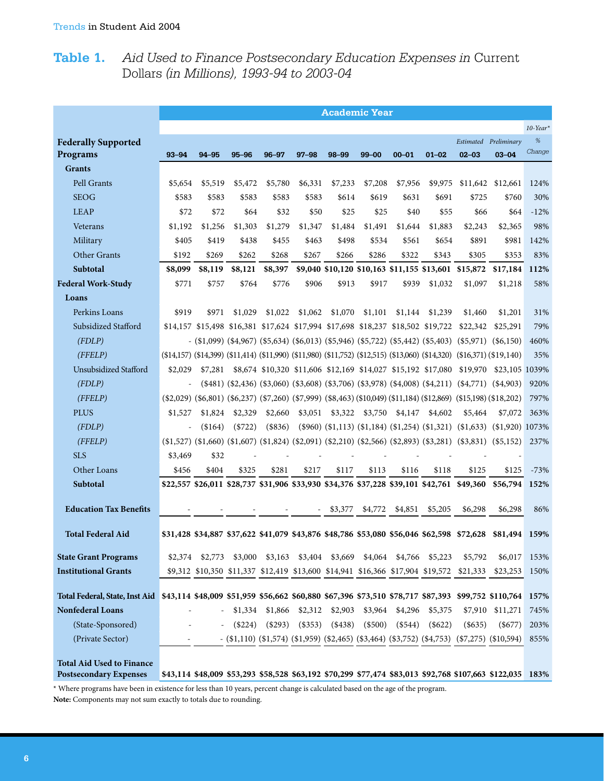# **Table 1.** *Aid Used to Finance Postsecondary Education Expenses in* Current Dollars *(in Millions), 1993-94 to 2003-04*

|                                                                                                                                         | <b>Academic Year</b>                                                                               |         |                            |           |           |          |                                                                                  |           |                                                                                  |                                                                                                                                                                                                                                                                    |                                                                                                           |              |  |
|-----------------------------------------------------------------------------------------------------------------------------------------|----------------------------------------------------------------------------------------------------|---------|----------------------------|-----------|-----------|----------|----------------------------------------------------------------------------------|-----------|----------------------------------------------------------------------------------|--------------------------------------------------------------------------------------------------------------------------------------------------------------------------------------------------------------------------------------------------------------------|-----------------------------------------------------------------------------------------------------------|--------------|--|
|                                                                                                                                         |                                                                                                    |         |                            |           |           |          |                                                                                  |           |                                                                                  |                                                                                                                                                                                                                                                                    |                                                                                                           | $10$ -Year*  |  |
| <b>Federally Supported</b>                                                                                                              |                                                                                                    |         |                            |           |           |          |                                                                                  |           |                                                                                  |                                                                                                                                                                                                                                                                    | Estimated Preliminary                                                                                     | $\%$         |  |
| Programs                                                                                                                                | $93 - 94$                                                                                          | 94-95   | $95 - 96$                  | $96 - 97$ | $97 - 98$ | 98-99    | $99 - 00$                                                                        | $00 - 01$ | $01 - 02$                                                                        | $02 - 03$                                                                                                                                                                                                                                                          | $03 - 04$                                                                                                 | Change       |  |
| <b>Grants</b>                                                                                                                           |                                                                                                    |         |                            |           |           |          |                                                                                  |           |                                                                                  |                                                                                                                                                                                                                                                                    |                                                                                                           |              |  |
| Pell Grants                                                                                                                             | \$5,654                                                                                            | \$5,519 | \$5,472                    | \$5,780   | \$6,331   | \$7,233  | \$7,208                                                                          | \$7,956   | \$9,975                                                                          | \$11,642                                                                                                                                                                                                                                                           | \$12,661                                                                                                  | 124%         |  |
| <b>SEOG</b>                                                                                                                             | \$583                                                                                              | \$583   | \$583                      | \$583     | \$583     | \$614    | \$619                                                                            | \$631     | \$691                                                                            | \$725                                                                                                                                                                                                                                                              | \$760                                                                                                     | 30%          |  |
| <b>LEAP</b>                                                                                                                             | \$72                                                                                               | \$72    | \$64                       | \$32      | \$50      | \$25     | \$25                                                                             | \$40      | \$55                                                                             | \$66                                                                                                                                                                                                                                                               | \$64                                                                                                      | $-12%$       |  |
| Veterans                                                                                                                                | \$1,192                                                                                            | \$1,256 | \$1,303                    | \$1,279   | \$1,347   | \$1,484  | \$1,491                                                                          | \$1,644   | \$1,883                                                                          | \$2,243                                                                                                                                                                                                                                                            | \$2,365                                                                                                   | 98%          |  |
| Military                                                                                                                                | \$405                                                                                              | \$419   | \$438                      | \$455     | \$463     | \$498    | \$534                                                                            | \$561     | \$654                                                                            | \$891                                                                                                                                                                                                                                                              | \$981                                                                                                     | 142%         |  |
| <b>Other Grants</b>                                                                                                                     | \$192                                                                                              | \$269   | \$262                      | \$268     | \$267     | \$266    | \$286                                                                            | \$322     | \$343                                                                            | \$305                                                                                                                                                                                                                                                              | \$353                                                                                                     | 83%          |  |
| <b>Subtotal</b>                                                                                                                         | \$8,099                                                                                            | \$8,119 | \$8,121                    | \$8,397   |           |          |                                                                                  |           |                                                                                  | \$9,040 \$10,120 \$10,163 \$11,155 \$13,601 \$15,872                                                                                                                                                                                                               | \$17,184                                                                                                  | 112%         |  |
| <b>Federal Work-Study</b>                                                                                                               | \$771                                                                                              | \$757   | \$764                      | \$776     | \$906     | \$913    | \$917                                                                            | \$939     | \$1,032                                                                          | \$1,097                                                                                                                                                                                                                                                            | \$1,218                                                                                                   | 58%          |  |
| Loans                                                                                                                                   |                                                                                                    |         |                            |           |           |          |                                                                                  |           |                                                                                  |                                                                                                                                                                                                                                                                    |                                                                                                           |              |  |
| Perkins Loans                                                                                                                           | \$919                                                                                              | \$971   | \$1,029                    | \$1,022   | \$1,062   | \$1,070  | \$1,101                                                                          | \$1,144   | \$1,239                                                                          | \$1,460                                                                                                                                                                                                                                                            | \$1,201                                                                                                   | 31%          |  |
| Subsidized Stafford                                                                                                                     |                                                                                                    |         |                            |           |           |          | \$14,157 \$15,498 \$16,381 \$17,624 \$17,994 \$17,698 \$18,237 \$18,502 \$19,722 |           |                                                                                  | \$22,342                                                                                                                                                                                                                                                           | \$25,291                                                                                                  | 79%          |  |
| (FDLP)                                                                                                                                  |                                                                                                    |         |                            |           |           |          |                                                                                  |           | $(1,099)$ (\$4,967) (\$5,634) (\$6,013) (\$5,946) (\$5,722) (\$5,442) (\$5,403)  |                                                                                                                                                                                                                                                                    | $(\$5,971)$ $(\$6,150)$                                                                                   | 460%         |  |
| (FFELP)                                                                                                                                 | $(14,157)$ $(14,399)$ $(14,414)$ $(11,990)$ $(11,980)$ $(11,752)$ $(12,515)$ $(13,060)$ $(14,320)$ |         |                            |           |           |          |                                                                                  |           |                                                                                  | (\$16,371)(\$19,140)                                                                                                                                                                                                                                               |                                                                                                           | 35%          |  |
| Unsubsidized Stafford                                                                                                                   | \$2,029                                                                                            | \$7,281 |                            |           |           |          |                                                                                  |           | \$8,674 \$10,320 \$11,606 \$12,169 \$14,027 \$15,192 \$17,080                    | \$19,970                                                                                                                                                                                                                                                           | \$23,105 1039%                                                                                            |              |  |
| (FDLP)                                                                                                                                  | $\overline{a}$                                                                                     |         |                            |           |           |          |                                                                                  |           | $(481)$ $(42,436)$ $(43,060)$ $(43,608)$ $(43,706)$ $(43,978)$ $(4008)$ $(4211)$ |                                                                                                                                                                                                                                                                    | $(S4,771)$ $(S4,903)$                                                                                     | 920%         |  |
| (FFELP)                                                                                                                                 |                                                                                                    |         |                            |           |           |          |                                                                                  |           |                                                                                  | $(\$2,029)$ $(\$6,801)$ $(\$6,237)$ $(\$7,260)$ $(\$7,999)$ $(\$8,463)$ $(\$10,049)$ $(\$11,184)$ $(\$12,869)$ $(\$15,198)$ $(\$18,202)$                                                                                                                           |                                                                                                           | 797%         |  |
| <b>PLUS</b>                                                                                                                             | \$1,527                                                                                            | \$1,824 | \$2,329                    | \$2,660   | \$3,051   | \$3,322  | \$3,750                                                                          | \$4,147   | \$4,602                                                                          | \$5,464                                                                                                                                                                                                                                                            | \$7,072                                                                                                   | 363%         |  |
| (FDLP)                                                                                                                                  | $\equiv$                                                                                           | (\$164) | $(*722)$                   | (\$836)   |           |          |                                                                                  |           | $(\$960)$ $(\$1,113)$ $(\$1,184)$ $(\$1,254)$ $(\$1,321)$                        |                                                                                                                                                                                                                                                                    | $($1,633)$ $($1,920)$ 1073%                                                                               |              |  |
| (FFELP)                                                                                                                                 |                                                                                                    |         |                            |           |           |          |                                                                                  |           |                                                                                  | $(1,527)$ $(1,660)$ $(1,607)$ $(1,824)$ $(2,091)$ $(2,210)$ $(2,566)$ $(2,893)$ $(3,281)$ $(3,831)$ $(5,152)$                                                                                                                                                      |                                                                                                           | 237%         |  |
| <b>SLS</b>                                                                                                                              | \$3,469                                                                                            | \$32    |                            |           |           |          |                                                                                  |           |                                                                                  |                                                                                                                                                                                                                                                                    |                                                                                                           |              |  |
| Other Loans                                                                                                                             | \$456                                                                                              | \$404   | \$325                      | \$281     | \$217     | \$117    | \$113                                                                            | \$116     | \$118                                                                            | \$125                                                                                                                                                                                                                                                              | \$125                                                                                                     | $-73%$       |  |
| Subtotal                                                                                                                                |                                                                                                    |         |                            |           |           |          |                                                                                  |           |                                                                                  | \$22,557 \$26,011 \$28,737 \$31,906 \$33,930 \$34,376 \$37,228 \$39,101 \$42,761 \$49,360                                                                                                                                                                          | \$56,794 152%                                                                                             |              |  |
| <b>Education Tax Benefits</b>                                                                                                           |                                                                                                    |         |                            |           |           | \$3,377  | \$4,772                                                                          | \$4,851   | \$5,205                                                                          | \$6,298                                                                                                                                                                                                                                                            | \$6,298                                                                                                   | 86%          |  |
|                                                                                                                                         |                                                                                                    |         |                            |           |           |          |                                                                                  |           |                                                                                  |                                                                                                                                                                                                                                                                    |                                                                                                           |              |  |
| <b>Total Federal Aid</b>                                                                                                                |                                                                                                    |         |                            |           |           |          |                                                                                  |           |                                                                                  |                                                                                                                                                                                                                                                                    | \$31,428 \$34,887 \$37,622 \$41,079 \$43,876 \$48,786 \$53,080 \$56,046 \$62,598 \$72,628 \$81,494 159%   |              |  |
| <b>State Grant Programs</b>                                                                                                             |                                                                                                    |         | $$2,374$ $$2,773$ $$3,000$ |           |           |          | \$3,163 \$3,404 \$3,669 \$4,064 \$4,766 \$5,223                                  |           |                                                                                  | \$5,792                                                                                                                                                                                                                                                            |                                                                                                           | \$6,017 153% |  |
| <b>Institutional Grants</b>                                                                                                             |                                                                                                    |         |                            |           |           |          |                                                                                  |           |                                                                                  | \$9,312 \$10,350 \$11,337 \$12,419 \$13,600 \$14,941 \$16,366 \$17,904 \$19,572 \$21,333                                                                                                                                                                           | \$23,253                                                                                                  | 150%         |  |
| Total Federal, State, Inst Aid \$43,114 \$48,009 \$51,959 \$56,662 \$60,880 \$67,396 \$73,510 \$78,717 \$87,393 \$99,752 \$110,764 157% |                                                                                                    |         |                            |           |           |          |                                                                                  |           |                                                                                  |                                                                                                                                                                                                                                                                    |                                                                                                           |              |  |
| Nonfederal Loans                                                                                                                        |                                                                                                    |         | \$1,334                    | \$1,866   | \$2,312   | \$2,903  | \$3,964                                                                          | \$4,296   | \$5,375                                                                          |                                                                                                                                                                                                                                                                    | \$7,910 \$11,271                                                                                          | 745%         |  |
| (State-Sponsored)                                                                                                                       |                                                                                                    |         | $(\$224)$                  | $(\$293)$ | (\$353)   | $(*438)$ | (\$500)                                                                          | $(\$544)$ | $(\$622)$                                                                        | (\$635)                                                                                                                                                                                                                                                            | $(\$677)$                                                                                                 | 203%         |  |
| (Private Sector)                                                                                                                        |                                                                                                    |         |                            |           |           |          |                                                                                  |           |                                                                                  | $(1,110)(1,170)(1,170)(1,170)(1,170)(1,170)(1,170)(1,170)(1,170)(1,170)(1,170)(1,170)(1,170)(1,170)(1,170)(1,170)(1,170)(1,170)(1,170)(1,170)(1,170)(1,170)(1,170)(1,170)(1,170)(1,170)(1,170)(1,170)(1,170)(1,170)(1,170)(1,170)(1,170)(1,170)(1,170)(1,170)(1,1$ |                                                                                                           | 855%         |  |
| <b>Total Aid Used to Finance</b><br><b>Postsecondary Expenses</b>                                                                       |                                                                                                    |         |                            |           |           |          |                                                                                  |           |                                                                                  |                                                                                                                                                                                                                                                                    | \$43,114 \$48,009 \$53,293 \$58,528 \$63,192 \$70,299 \$77,474 \$83,013 \$92,768 \$107,663 \$122,035 183% |              |  |

\* Where programs have been in existence for less than 10 years, percent change is calculated based on the age of the program. **Note:** Components may not sum exactly to totals due to rounding.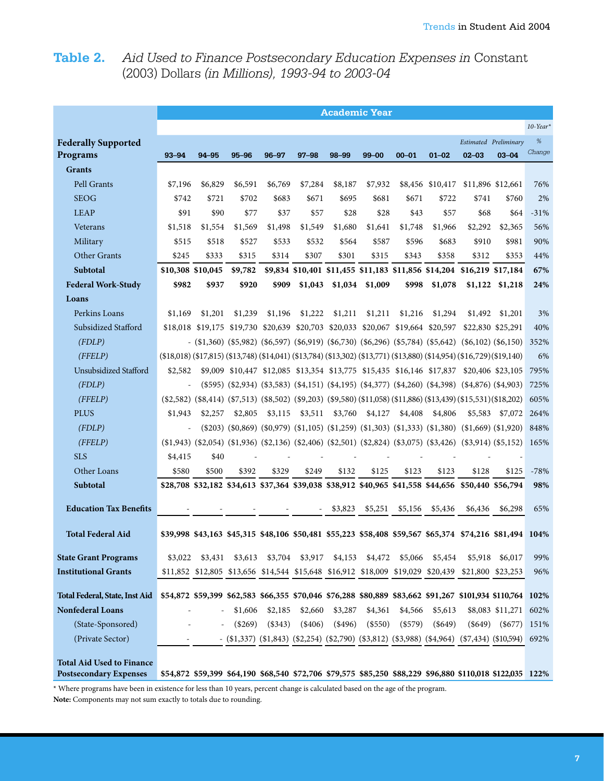# **Table 2.** *Aid Used to Finance Postsecondary Education Expenses in* Constant (2003) Dollars *(in Millions), 1993-94 to 2003-04*

|                                                                   | <b>Academic Year</b>                                                                                                     |                                                                                  |           |           |           |          |                                                      |           |                  |                                                                                                                            |                       |             |  |
|-------------------------------------------------------------------|--------------------------------------------------------------------------------------------------------------------------|----------------------------------------------------------------------------------|-----------|-----------|-----------|----------|------------------------------------------------------|-----------|------------------|----------------------------------------------------------------------------------------------------------------------------|-----------------------|-------------|--|
|                                                                   |                                                                                                                          |                                                                                  |           |           |           |          |                                                      |           |                  |                                                                                                                            |                       | $10$ -Year* |  |
| <b>Federally Supported</b>                                        |                                                                                                                          |                                                                                  |           |           |           |          |                                                      |           |                  |                                                                                                                            | Estimated Preliminary | $\%$        |  |
| Programs                                                          | $93 - 94$                                                                                                                | 94-95                                                                            | $95 - 96$ | $96 - 97$ | $97 - 98$ | 98-99    | $99 - 00$                                            | $00 - 01$ | $01 - 02$        | $02 - 03$                                                                                                                  | $03 - 04$             | Change      |  |
| <b>Grants</b>                                                     |                                                                                                                          |                                                                                  |           |           |           |          |                                                      |           |                  |                                                                                                                            |                       |             |  |
| Pell Grants                                                       | \$7,196                                                                                                                  | \$6,829                                                                          | \$6,591   | \$6,769   | \$7,284   | \$8,187  | \$7,932                                              |           | \$8,456 \$10,417 |                                                                                                                            | \$11,896 \$12,661     | 76%         |  |
| <b>SEOG</b>                                                       | \$742                                                                                                                    | \$721                                                                            | \$702     | \$683     | \$671     | \$695    | \$681                                                | \$671     | \$722            | \$741                                                                                                                      | \$760                 | 2%          |  |
| <b>LEAP</b>                                                       | \$91                                                                                                                     | \$90                                                                             | \$77      | \$37      | \$57      | \$28     | \$28                                                 | \$43      | \$57             | \$68                                                                                                                       | \$64                  | $-31%$      |  |
| Veterans                                                          | \$1,518                                                                                                                  | \$1,554                                                                          | \$1,569   | \$1,498   | \$1,549   | \$1,680  | \$1,641                                              | \$1,748   | \$1,966          | \$2,292                                                                                                                    | \$2,365               | 56%         |  |
| Military                                                          | \$515                                                                                                                    | \$518                                                                            | \$527     | \$533     | \$532     | \$564    | \$587                                                | \$596     | \$683            | \$910                                                                                                                      | \$981                 | 90%         |  |
| Other Grants                                                      | \$245                                                                                                                    | \$333                                                                            | \$315     | \$314     | \$307     | \$301    | \$315                                                | \$343     | \$358            | \$312                                                                                                                      | \$353                 | 44%         |  |
| <b>Subtotal</b>                                                   | \$10,308 \$10,045                                                                                                        |                                                                                  | \$9,782   |           |           |          | \$9,834 \$10,401 \$11,455 \$11,183 \$11,856 \$14,204 |           |                  | \$16,219 \$17,184                                                                                                          |                       | 67%         |  |
| <b>Federal Work-Study</b>                                         | \$982                                                                                                                    | \$937                                                                            | \$920     | \$909     | \$1,043   | \$1,034  | \$1,009                                              | \$998     | \$1,078          | \$1,122                                                                                                                    | \$1,218               | 24%         |  |
| Loans                                                             |                                                                                                                          |                                                                                  |           |           |           |          |                                                      |           |                  |                                                                                                                            |                       |             |  |
| Perkins Loans                                                     | \$1,169                                                                                                                  | \$1,201                                                                          | \$1,239   | \$1,196   | \$1,222   | \$1,211  | \$1,211                                              | \$1,216   | \$1,294          | \$1,492                                                                                                                    | \$1,201               | 3%          |  |
| Subsidized Stafford                                               |                                                                                                                          | \$18,018 \$19,175 \$19,730 \$20,639 \$20,703 \$20,033 \$20,067 \$19,664 \$20,597 |           |           |           |          |                                                      |           |                  |                                                                                                                            | \$22,830 \$25,291     | 40%         |  |
| (FDLP)                                                            |                                                                                                                          |                                                                                  |           |           |           |          |                                                      |           |                  | $(1,360)(5,982)(5,677)(5,679)$ (\$6,919) (\$6,730) (\$6,296) (\$5,784) (\$5,642) (\$6,102) (\$6,150)                       |                       | 352%        |  |
| (FFELP)                                                           | $(18,018)$ (\$17,815) (\$13,748) (\$14,041) (\$13,784) (\$13,302) (\$13,771) (\$13,880) (\$14,954) (\$16,729) (\$19,140) |                                                                                  |           |           |           |          |                                                      |           |                  |                                                                                                                            |                       | 6%          |  |
| Unsubsidized Stafford                                             | \$2,582                                                                                                                  |                                                                                  |           |           |           |          |                                                      |           |                  | \$9,009 \$10,447 \$12,085 \$13,354 \$13,775 \$15,435 \$16,146 \$17,837 \$20,406 \$23,105                                   |                       | 795%        |  |
| (FDLP)                                                            | $\equiv$                                                                                                                 |                                                                                  |           |           |           |          |                                                      |           |                  | $(\$595)$ $(\$2,934)$ $(\$3,583)$ $(\$4,151)$ $(\$4,195)$ $(\$4,377)$ $(\$4,260)$ $(\$4,398)$ $(\$4,876)$ $(\$4,903)$      |                       | 725%        |  |
| (FFELP)                                                           |                                                                                                                          |                                                                                  |           |           |           |          |                                                      |           |                  | $(1,2582)$ $(1,3414)$ $(1,5513)$ $(1,85502)$ $(1,69203)$ $(1,6580)$ $(1,1058)$ $(1,1386)$ $(1,3439)$ $(15,531)$ $(18,202)$ |                       | 605%        |  |
| <b>PLUS</b>                                                       | \$1,943                                                                                                                  | \$2,257                                                                          | \$2,805   | \$3,115   | \$3,511   | \$3,760  | \$4,127                                              | \$4,408   | \$4,806          | \$5,583                                                                                                                    | \$7,072               | 264%        |  |
| (FDLP)                                                            |                                                                                                                          |                                                                                  |           |           |           |          |                                                      |           |                  | $(1,203)$ $(1,60,869)$ $(1,0579)$ $(1,105)$ $(1,259)$ $(1,303)$ $(1,333)$ $(1,380)$ $(1,669)$ $(1,920)$                    |                       | 848%        |  |
| (FFELP)                                                           |                                                                                                                          |                                                                                  |           |           |           |          |                                                      |           |                  | $(1,943)$ $(2,054)$ $(1,936)$ $(2,136)$ $(2,406)$ $(52,501)$ $(52,824)$ $(53,075)$ $(53,426)$ $(53,914)$ $(55,152)$        |                       | 165%        |  |
| <b>SLS</b>                                                        | \$4,415                                                                                                                  | \$40                                                                             |           |           |           |          |                                                      |           |                  |                                                                                                                            |                       |             |  |
| Other Loans                                                       | \$580                                                                                                                    | \$500                                                                            | \$392     | \$329     | \$249     | \$132    | \$125                                                | \$123     | \$123            | \$128                                                                                                                      | \$125                 | $-78%$      |  |
| Subtotal                                                          |                                                                                                                          |                                                                                  |           |           |           |          |                                                      |           |                  | \$28,708 \$32,182 \$34,613 \$37,364 \$39,038 \$38,912 \$40,965 \$41,558 \$44,656 \$50,440 \$56,794                         |                       | 98%         |  |
| <b>Education Tax Benefits</b>                                     |                                                                                                                          |                                                                                  |           |           |           | \$3,823  | \$5,251                                              | \$5,156   | \$5,436          | \$6,436                                                                                                                    | \$6,298               | 65%         |  |
|                                                                   |                                                                                                                          |                                                                                  |           |           |           |          |                                                      |           |                  |                                                                                                                            |                       |             |  |
| <b>Total Federal Aid</b>                                          |                                                                                                                          |                                                                                  |           |           |           |          |                                                      |           |                  | \$39,998 \$43,163 \$45,315 \$48,106 \$50,481 \$55,223 \$58,408 \$59,567 \$65,374 \$74,216 \$81,494 104%                    |                       |             |  |
| <b>State Grant Programs</b>                                       | \$3,022                                                                                                                  | \$3,431                                                                          | \$3,613   | \$3,704   | \$3,917   | \$4,153  | \$4,472                                              | \$5,066   | \$5,454          | \$5,918                                                                                                                    | \$6,017               | 99%         |  |
| <b>Institutional Grants</b>                                       |                                                                                                                          | \$11,852 \$12,805 \$13,656 \$14,544 \$15,648 \$16,912 \$18,009 \$19,029 \$20,439 |           |           |           |          |                                                      |           |                  |                                                                                                                            | \$21,800 \$23,253     | 96%         |  |
| <b>Total Federal, State, Inst Aid</b>                             | \$54,872 \$59,399 \$62,583 \$66,355 \$70,046 \$76,288 \$80,889 \$83,662 \$91,267 \$101,934 \$110,764 102%                |                                                                                  |           |           |           |          |                                                      |           |                  |                                                                                                                            |                       |             |  |
| Nonfederal Loans                                                  |                                                                                                                          | ÷,                                                                               | \$1,606   | \$2,185   | \$2,660   | \$3,287  | \$4,361                                              | \$4,566   | \$5,613          |                                                                                                                            | \$8,083 \$11,271 602% |             |  |
| (State-Sponsored)                                                 |                                                                                                                          |                                                                                  | $(\$269)$ | $(*343)$  | $(\$406)$ | $(*496)$ | $(\$550)$                                            | $(\$579)$ | $(\$649)$        | $(\$649)$                                                                                                                  | $(\$677)$             | 151%        |  |
| (Private Sector)                                                  |                                                                                                                          |                                                                                  |           |           |           |          |                                                      |           |                  | $(1,337)(1,843)(1,843)(1,82,790)(1,83,812)(1,83,988)(1,84,964)(1,7434)(1,810,594)$                                         |                       | 692%        |  |
|                                                                   |                                                                                                                          |                                                                                  |           |           |           |          |                                                      |           |                  |                                                                                                                            |                       |             |  |
| <b>Total Aid Used to Finance</b><br><b>Postsecondary Expenses</b> |                                                                                                                          |                                                                                  |           |           |           |          |                                                      |           |                  | \$54,872 \$59,399 \$64,190 \$68,540 \$72,706 \$79,575 \$85,250 \$88,229 \$96,880 \$110,018 \$122,035 122%                  |                       |             |  |

\* Where programs have been in existence for less than 10 years, percent change is calculated based on the age of the program. **Note:** Components may not sum exactly to totals due to rounding.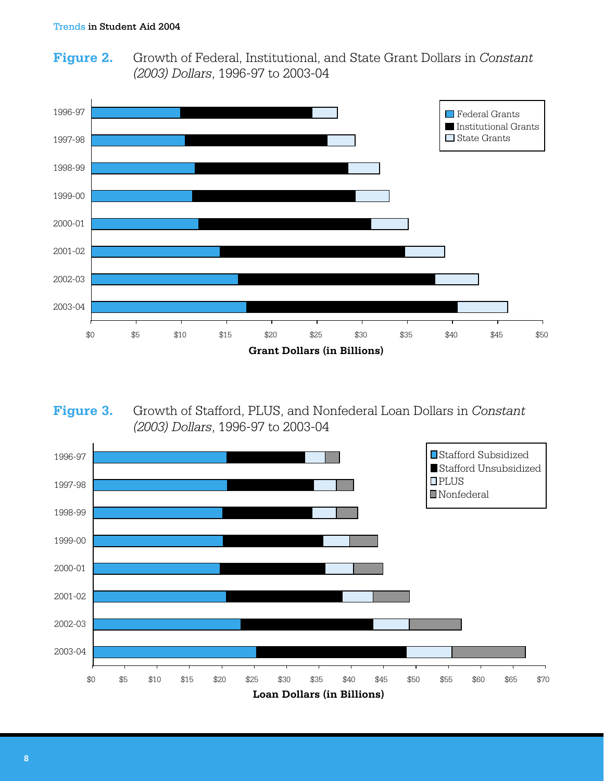Growth of Federal, Institutional, and State Grant Dollars in Constant **Figure 2.** (2003) Dollars, 1996-97 to 2003-04



Figure 3. Growth of Stafford, PLUS, and Nonfederal Loan Dollars in Constant (2003) Dollars, 1996-97 to 2003-04

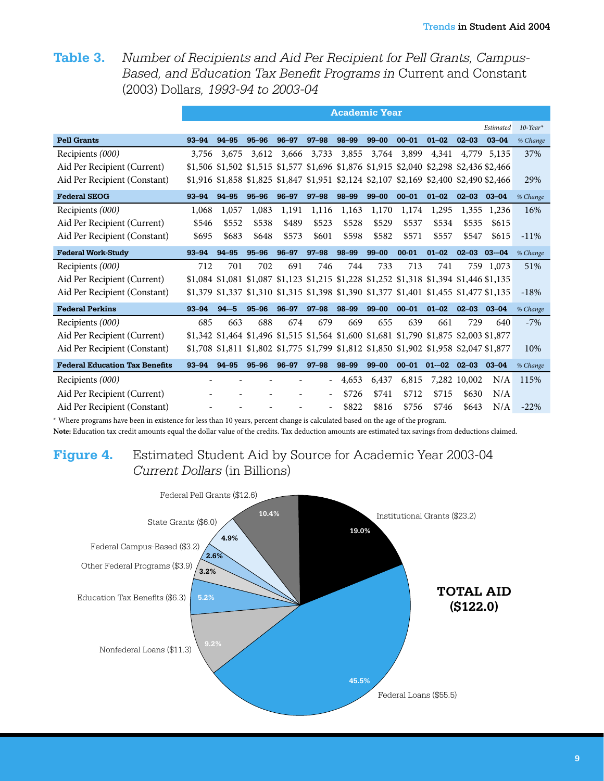Number of Recipients and Aid Per Recipient for Pell Grants, Campus-Table 3. Based, and Education Tax Benefit Programs in Current and Constant (2003) Dollars, 1993-94 to 2003-04

|                                       | <b>Academic Year</b> |           |           |           |           |                                                                                         |           |           |           |                     |           |                         |  |  |
|---------------------------------------|----------------------|-----------|-----------|-----------|-----------|-----------------------------------------------------------------------------------------|-----------|-----------|-----------|---------------------|-----------|-------------------------|--|--|
|                                       |                      |           |           |           |           |                                                                                         |           |           |           |                     | Estimated | $10$ -Year <sup>*</sup> |  |  |
| <b>Pell Grants</b>                    | $93 - 94$            | $94 - 95$ | $95 - 96$ | $96 - 97$ | $97 - 98$ | 98-99                                                                                   | $99 - 00$ | $00 - 01$ | $01 - 02$ | $02 - 03$           | $03 - 04$ | % Change                |  |  |
| Recipients (000)                      | 3,756                | 3,675     | 3,612     | 3,666     | 3,733     | 3,855                                                                                   | 3,764     | 3,899     | 4,341     | 4,779               | 5,135     | 37%                     |  |  |
| Aid Per Recipient (Current)           |                      |           |           |           |           | \$1,506 \$1,502 \$1,515 \$1,577 \$1,696 \$1,876 \$1,915 \$2,040 \$2,298 \$2,436 \$2,466 |           |           |           |                     |           |                         |  |  |
| Aid Per Recipient (Constant)          |                      |           |           |           |           | \$1,916 \$1,858 \$1,825 \$1,847 \$1,951 \$2,124 \$2,107 \$2,169 \$2,400 \$2,490 \$2,466 |           |           |           |                     |           | 29%                     |  |  |
| <b>Federal SEOG</b>                   | $93 - 94$            | 94-95     | $95 - 96$ | $96 - 97$ | $97 - 98$ | 98-99                                                                                   | $99 - 00$ | $00 - 01$ | $01 - 02$ | $02 - 03$           | $03 - 04$ | % Change                |  |  |
| Recipients (000)                      | 1,068                | 1,057     | 1,083     | 1,191     | 1,116     | 1,163                                                                                   | 1,170     | 1,174     | 1,295     | 1,355               | 1,236     | 16%                     |  |  |
| Aid Per Recipient (Current)           | \$546                | \$552     | \$538     | \$489     | \$523     | \$528                                                                                   | \$529     | \$537     | \$534     | \$535               | \$615     |                         |  |  |
| Aid Per Recipient (Constant)          | \$695                | \$683     | \$648     | \$573     | \$601     | \$598                                                                                   | \$582     | \$571     | \$557     | \$547               | \$615     | $-11\%$                 |  |  |
| <b>Federal Work-Study</b>             | $93 - 94$            | 94-95     | $95 - 96$ | $96 - 97$ | $97 - 98$ | 98-99                                                                                   | $99 - 00$ | $00 - 01$ | $01 - 02$ | $02 - 03$ $03 - 04$ |           | % Change                |  |  |
| Recipients (000)                      | 712                  | 701       | 702       | 691       | 746       | 744                                                                                     | 733       | 713       | 741       |                     | 759 1,073 | 51%                     |  |  |
| Aid Per Recipient (Current)           |                      |           |           |           |           | \$1,084 \$1,081 \$1,087 \$1,123 \$1,215 \$1,228 \$1,252 \$1,318 \$1,394 \$1,446 \$1,135 |           |           |           |                     |           |                         |  |  |
| Aid Per Recipient (Constant)          |                      |           |           |           |           | \$1,379 \$1,337 \$1,310 \$1,315 \$1,398 \$1,390 \$1,377 \$1,401 \$1,455 \$1,477 \$1,135 |           |           |           |                     |           | $-18%$                  |  |  |
| <b>Federal Perkins</b>                | $93 - 94$            | $94 - 5$  | $95 - 96$ | $96 - 97$ | $97 - 98$ | 98-99                                                                                   | $99 - 00$ | $00 - 01$ | $01 - 02$ | 02-03 03-04         |           | % Change                |  |  |
| Recipients (000)                      | 685                  | 663       | 688       | 674       | 679       | 669                                                                                     | 655       | 639       | 661       | 729                 | 640       | $-7%$                   |  |  |
| Aid Per Recipient (Current)           |                      |           |           |           |           | \$1,342 \$1,464 \$1,496 \$1,515 \$1,564 \$1,600 \$1,681 \$1,790 \$1,875 \$2,003 \$1,877 |           |           |           |                     |           |                         |  |  |
| Aid Per Recipient (Constant)          |                      |           |           |           |           | \$1,708 \$1,811 \$1,802 \$1,775 \$1,799 \$1,812 \$1,850 \$1,902 \$1,958 \$2,047 \$1,877 |           |           |           |                     |           | 10%                     |  |  |
| <b>Federal Education Tax Benefits</b> | $93 - 94$            | $94 - 95$ | $95 - 96$ | $96 - 97$ | $97 - 98$ | 98-99                                                                                   | $99 - 00$ | $00 - 01$ | $01 - 02$ | $02 - 03$           | $03 - 04$ | % Change                |  |  |
| Recipients (000)                      |                      |           |           |           |           | 4,653                                                                                   | 6,437     | 6,815     |           | 7,282 10,002        | N/A       | 115%                    |  |  |
| Aid Per Recipient (Current)           |                      |           |           |           |           | \$726                                                                                   | \$741     | \$712     | \$715     | \$630               | N/A       |                         |  |  |
| Aid Per Recipient (Constant)          |                      |           |           |           |           | \$822                                                                                   | \$816     | \$756     | \$746     | \$643               | N/A       | $-22\%$                 |  |  |

\* Where programs have been in existence for less than 10 years, percent change is calculated based on the age of the program. Note: Education tax credit amounts equal the dollar value of the credits. Tax deduction amounts are estimated tax savings from deductions claimed.

#### Estimated Student Aid by Source for Academic Year 2003-04 Figure 4. Current Dollars (in Billions)

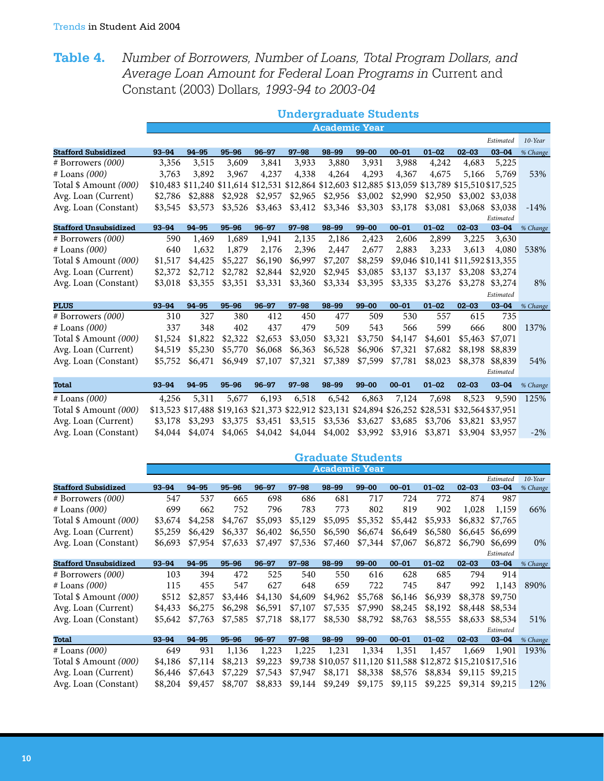# **Table 4.** *Number of Borrowers, Number of Loans, Total Program Dollars, and Average Loan Amount for Federal Loan Programs in* Current and Constant (2003) Dollars*, 1993-94 to 2003-04*

|                              | <b>Undergraduate Students</b> |           |           |           |                                                                                                                                                                                                                                                                                                                                                                                                                                                                                                                                                                                                                                                                                                                                                                                                                                                                                                                                                                                                                                                                                                                                                                                                                                                                                                                                                                                                                                                                                                                                                                                                                                                                                                                                                                                                                                                                                                                                                                                                                                     |         |            |         |         |         |           |            |
|------------------------------|-------------------------------|-----------|-----------|-----------|-------------------------------------------------------------------------------------------------------------------------------------------------------------------------------------------------------------------------------------------------------------------------------------------------------------------------------------------------------------------------------------------------------------------------------------------------------------------------------------------------------------------------------------------------------------------------------------------------------------------------------------------------------------------------------------------------------------------------------------------------------------------------------------------------------------------------------------------------------------------------------------------------------------------------------------------------------------------------------------------------------------------------------------------------------------------------------------------------------------------------------------------------------------------------------------------------------------------------------------------------------------------------------------------------------------------------------------------------------------------------------------------------------------------------------------------------------------------------------------------------------------------------------------------------------------------------------------------------------------------------------------------------------------------------------------------------------------------------------------------------------------------------------------------------------------------------------------------------------------------------------------------------------------------------------------------------------------------------------------------------------------------------------------|---------|------------|---------|---------|---------|-----------|------------|
|                              |                               |           |           |           |                                                                                                                                                                                                                                                                                                                                                                                                                                                                                                                                                                                                                                                                                                                                                                                                                                                                                                                                                                                                                                                                                                                                                                                                                                                                                                                                                                                                                                                                                                                                                                                                                                                                                                                                                                                                                                                                                                                                                                                                                                     |         |            |         |         |         |           |            |
|                              |                               |           |           |           | <b>Academic Year</b><br>Estimated<br>$97 - 98$<br>98-99<br>$99 - 00$<br>$00 - 01$<br>$01 - 02$<br>$02 - 03$<br>$03 - 04$<br>3,933<br>3,880<br>3,931<br>3,988<br>4,242<br>4,683<br>5,225<br>4,338<br>4,264<br>4,293<br>4,367<br>4,675<br>5,769<br>5,166<br>\$10,483 \$11,240 \$11,614 \$12,531 \$12,864 \$12,603 \$12,885 \$13,059 \$13,789 \$15,510 \$17,525<br>\$2,965<br>\$2,956<br>\$3,002<br>\$2,990<br>\$2,950<br>\$3,002 \$3,038<br>\$3,412<br>\$3,346<br>\$3,303<br>\$3,178<br>\$3,081<br>\$3,068<br>\$3,038<br>Estimated<br>$97 - 98$<br>98-99<br>$99 - 00$<br>$00 - 01$<br>$01 - 02$<br>$02 - 03$<br>$03 - 04$<br>2,899<br>2,135<br>2,186<br>2,423<br>2,606<br>3,225<br>3,630<br>2,396<br>2,883<br>2,447<br>2,677<br>3,233<br>3,613<br>4,080<br>\$6,997<br>\$7,207<br>\$8,259<br>\$9,046 \$10,141 \$11,592 \$13,355<br>\$2,920<br>\$2,945<br>\$3,085<br>\$3,137<br>\$3,137<br>\$3,208 \$3,274<br>\$3,360<br>\$3,334<br>\$3,395<br>\$3,335<br>\$3,276<br>\$3,278<br>\$3,274<br>Estimated<br>$97 - 98$<br>$99 - 00$<br>$02 - 03$<br>98-99<br>$00 - 01$<br>$01 - 02$<br>$03 - 04$<br>412<br>477<br>509<br>530<br>557<br>615<br>735<br>450<br>437<br>479<br>509<br>543<br>566<br>599<br>666<br>800<br>\$3,750<br>\$3,050<br>\$3,321<br>\$4,147<br>\$4,601<br>\$5,463<br>\$7,071<br>\$6,363<br>\$6,528<br>\$6,906<br>\$7,321<br>\$7,682<br>\$8,198<br>\$8,839<br>\$7,321<br>\$7,389<br>\$7,599<br>\$7,781<br>\$8,023<br>\$8,378<br>\$8,839<br>Estimated<br>$97 - 98$<br>98-99<br>$99 - 00$<br>$00 - 01$<br>$01 - 02$<br>$02 - 03$<br>$03 - 04$<br>6,863<br>7,698<br>6,518<br>6,542<br>7,124<br>8,523<br>9,590<br>\$13,523 \$17,488 \$19,163 \$21,373 \$22,912 \$23,131 \$24,894 \$26,252 \$28,531 \$32,564 \$37,951<br>\$3,515<br>\$3,536<br>\$3,627<br>\$3,685<br>\$3,706<br>\$3,821 \$3,957<br>\$4,044<br>\$4,002<br>\$3,992<br>\$3,916<br>\$3,871<br>\$3,904 \$3,957<br><b>Graduate Students</b><br><b>Academic Year</b><br>Estimated<br>$97 - 98$<br>98-99<br>$99 - 00$<br>$01 - 02$<br>$03 - 04$<br>$00 - 01$<br>$02 - 03$ |         | $10$ -Year |         |         |         |           |            |
| <b>Stafford Subsidized</b>   | 93-94                         | $94 - 95$ | $95 - 96$ | $96 - 97$ |                                                                                                                                                                                                                                                                                                                                                                                                                                                                                                                                                                                                                                                                                                                                                                                                                                                                                                                                                                                                                                                                                                                                                                                                                                                                                                                                                                                                                                                                                                                                                                                                                                                                                                                                                                                                                                                                                                                                                                                                                                     |         |            |         |         |         |           | % Change   |
| $# B$ orrowers $(000)$       | 3,356                         | 3,515     | 3,609     | 3,841     |                                                                                                                                                                                                                                                                                                                                                                                                                                                                                                                                                                                                                                                                                                                                                                                                                                                                                                                                                                                                                                                                                                                                                                                                                                                                                                                                                                                                                                                                                                                                                                                                                                                                                                                                                                                                                                                                                                                                                                                                                                     |         |            |         |         |         |           |            |
| # Loans (000)                | 3,763                         | 3,892     | 3,967     | 4,237     |                                                                                                                                                                                                                                                                                                                                                                                                                                                                                                                                                                                                                                                                                                                                                                                                                                                                                                                                                                                                                                                                                                                                                                                                                                                                                                                                                                                                                                                                                                                                                                                                                                                                                                                                                                                                                                                                                                                                                                                                                                     |         |            |         |         |         |           | 53%        |
| Total \$ Amount (000)        |                               |           |           |           |                                                                                                                                                                                                                                                                                                                                                                                                                                                                                                                                                                                                                                                                                                                                                                                                                                                                                                                                                                                                                                                                                                                                                                                                                                                                                                                                                                                                                                                                                                                                                                                                                                                                                                                                                                                                                                                                                                                                                                                                                                     |         |            |         |         |         |           |            |
| Avg. Loan (Current)          | \$2,786                       | \$2,888   | \$2,928   | \$2,957   |                                                                                                                                                                                                                                                                                                                                                                                                                                                                                                                                                                                                                                                                                                                                                                                                                                                                                                                                                                                                                                                                                                                                                                                                                                                                                                                                                                                                                                                                                                                                                                                                                                                                                                                                                                                                                                                                                                                                                                                                                                     |         |            |         |         |         |           |            |
| Avg. Loan (Constant)         | \$3,545                       | \$3,573   | \$3,526   | \$3,463   |                                                                                                                                                                                                                                                                                                                                                                                                                                                                                                                                                                                                                                                                                                                                                                                                                                                                                                                                                                                                                                                                                                                                                                                                                                                                                                                                                                                                                                                                                                                                                                                                                                                                                                                                                                                                                                                                                                                                                                                                                                     |         |            |         |         |         |           | $-14%$     |
|                              |                               |           |           |           |                                                                                                                                                                                                                                                                                                                                                                                                                                                                                                                                                                                                                                                                                                                                                                                                                                                                                                                                                                                                                                                                                                                                                                                                                                                                                                                                                                                                                                                                                                                                                                                                                                                                                                                                                                                                                                                                                                                                                                                                                                     |         |            |         |         |         |           |            |
| <b>Stafford Unsubsidized</b> | $93 - 94$                     | 94-95     | $95 - 96$ | $96 - 97$ |                                                                                                                                                                                                                                                                                                                                                                                                                                                                                                                                                                                                                                                                                                                                                                                                                                                                                                                                                                                                                                                                                                                                                                                                                                                                                                                                                                                                                                                                                                                                                                                                                                                                                                                                                                                                                                                                                                                                                                                                                                     |         |            |         |         |         |           | % Change   |
| $# B$ orrowers $(000)$       | 590                           | 1,469     | 1,689     | 1,941     |                                                                                                                                                                                                                                                                                                                                                                                                                                                                                                                                                                                                                                                                                                                                                                                                                                                                                                                                                                                                                                                                                                                                                                                                                                                                                                                                                                                                                                                                                                                                                                                                                                                                                                                                                                                                                                                                                                                                                                                                                                     |         |            |         |         |         |           |            |
| # Loans (000)                | 640                           | 1,632     | 1,879     | 2,176     |                                                                                                                                                                                                                                                                                                                                                                                                                                                                                                                                                                                                                                                                                                                                                                                                                                                                                                                                                                                                                                                                                                                                                                                                                                                                                                                                                                                                                                                                                                                                                                                                                                                                                                                                                                                                                                                                                                                                                                                                                                     |         |            |         |         |         |           | 538%       |
| Total \$ Amount (000)        | \$1,517                       | \$4,425   | \$5,227   | \$6,190   |                                                                                                                                                                                                                                                                                                                                                                                                                                                                                                                                                                                                                                                                                                                                                                                                                                                                                                                                                                                                                                                                                                                                                                                                                                                                                                                                                                                                                                                                                                                                                                                                                                                                                                                                                                                                                                                                                                                                                                                                                                     |         |            |         |         |         |           |            |
| Avg. Loan (Current)          | \$2,372                       | \$2,712   | \$2,782   | \$2,844   |                                                                                                                                                                                                                                                                                                                                                                                                                                                                                                                                                                                                                                                                                                                                                                                                                                                                                                                                                                                                                                                                                                                                                                                                                                                                                                                                                                                                                                                                                                                                                                                                                                                                                                                                                                                                                                                                                                                                                                                                                                     |         |            |         |         |         |           |            |
| Avg. Loan (Constant)         | \$3,018                       | \$3,355   | \$3,351   | \$3,331   |                                                                                                                                                                                                                                                                                                                                                                                                                                                                                                                                                                                                                                                                                                                                                                                                                                                                                                                                                                                                                                                                                                                                                                                                                                                                                                                                                                                                                                                                                                                                                                                                                                                                                                                                                                                                                                                                                                                                                                                                                                     |         |            |         |         |         |           | 8%         |
|                              |                               |           |           |           |                                                                                                                                                                                                                                                                                                                                                                                                                                                                                                                                                                                                                                                                                                                                                                                                                                                                                                                                                                                                                                                                                                                                                                                                                                                                                                                                                                                                                                                                                                                                                                                                                                                                                                                                                                                                                                                                                                                                                                                                                                     |         |            |         |         |         |           |            |
| <b>PLUS</b>                  | $93 - 94$                     | 94-95     | $95 - 96$ | $96 - 97$ |                                                                                                                                                                                                                                                                                                                                                                                                                                                                                                                                                                                                                                                                                                                                                                                                                                                                                                                                                                                                                                                                                                                                                                                                                                                                                                                                                                                                                                                                                                                                                                                                                                                                                                                                                                                                                                                                                                                                                                                                                                     |         |            |         |         |         |           | % Change   |
| # Borrowers (000)            | 310                           | 327       | 380       |           |                                                                                                                                                                                                                                                                                                                                                                                                                                                                                                                                                                                                                                                                                                                                                                                                                                                                                                                                                                                                                                                                                                                                                                                                                                                                                                                                                                                                                                                                                                                                                                                                                                                                                                                                                                                                                                                                                                                                                                                                                                     |         |            |         |         |         |           |            |
| $#$ Loans $(000)$            | 337                           | 348       | 402       |           |                                                                                                                                                                                                                                                                                                                                                                                                                                                                                                                                                                                                                                                                                                                                                                                                                                                                                                                                                                                                                                                                                                                                                                                                                                                                                                                                                                                                                                                                                                                                                                                                                                                                                                                                                                                                                                                                                                                                                                                                                                     |         |            |         |         |         |           | 137%       |
| Total \$ Amount (000)        | \$1,524                       | \$1,822   | \$2,322   | \$2,653   |                                                                                                                                                                                                                                                                                                                                                                                                                                                                                                                                                                                                                                                                                                                                                                                                                                                                                                                                                                                                                                                                                                                                                                                                                                                                                                                                                                                                                                                                                                                                                                                                                                                                                                                                                                                                                                                                                                                                                                                                                                     |         |            |         |         |         |           |            |
| Avg. Loan (Current)          | \$4,519                       | \$5,230   | \$5,770   | \$6,068   |                                                                                                                                                                                                                                                                                                                                                                                                                                                                                                                                                                                                                                                                                                                                                                                                                                                                                                                                                                                                                                                                                                                                                                                                                                                                                                                                                                                                                                                                                                                                                                                                                                                                                                                                                                                                                                                                                                                                                                                                                                     |         |            |         |         |         |           |            |
| Avg. Loan (Constant)         | \$5,752                       | \$6,471   | \$6,949   | \$7,107   |                                                                                                                                                                                                                                                                                                                                                                                                                                                                                                                                                                                                                                                                                                                                                                                                                                                                                                                                                                                                                                                                                                                                                                                                                                                                                                                                                                                                                                                                                                                                                                                                                                                                                                                                                                                                                                                                                                                                                                                                                                     |         |            |         |         |         |           | 54%        |
|                              |                               |           |           |           |                                                                                                                                                                                                                                                                                                                                                                                                                                                                                                                                                                                                                                                                                                                                                                                                                                                                                                                                                                                                                                                                                                                                                                                                                                                                                                                                                                                                                                                                                                                                                                                                                                                                                                                                                                                                                                                                                                                                                                                                                                     |         |            |         |         |         |           |            |
| <b>Total</b>                 | $93 - 94$                     | 94-95     | $95 - 96$ | $96 - 97$ |                                                                                                                                                                                                                                                                                                                                                                                                                                                                                                                                                                                                                                                                                                                                                                                                                                                                                                                                                                                                                                                                                                                                                                                                                                                                                                                                                                                                                                                                                                                                                                                                                                                                                                                                                                                                                                                                                                                                                                                                                                     |         |            |         |         |         |           | % Change   |
| $#$ Loans $(000)$            | 4,256                         | 5,311     | 5,677     | 6,193     |                                                                                                                                                                                                                                                                                                                                                                                                                                                                                                                                                                                                                                                                                                                                                                                                                                                                                                                                                                                                                                                                                                                                                                                                                                                                                                                                                                                                                                                                                                                                                                                                                                                                                                                                                                                                                                                                                                                                                                                                                                     |         |            |         |         |         |           | 125%       |
| Total \$ Amount (000)        |                               |           |           |           |                                                                                                                                                                                                                                                                                                                                                                                                                                                                                                                                                                                                                                                                                                                                                                                                                                                                                                                                                                                                                                                                                                                                                                                                                                                                                                                                                                                                                                                                                                                                                                                                                                                                                                                                                                                                                                                                                                                                                                                                                                     |         |            |         |         |         |           |            |
| Avg. Loan (Current)          | \$3,178                       | \$3,293   | \$3,375   | \$3,451   |                                                                                                                                                                                                                                                                                                                                                                                                                                                                                                                                                                                                                                                                                                                                                                                                                                                                                                                                                                                                                                                                                                                                                                                                                                                                                                                                                                                                                                                                                                                                                                                                                                                                                                                                                                                                                                                                                                                                                                                                                                     |         |            |         |         |         |           |            |
| Avg. Loan (Constant)         | \$4,044                       | \$4,074   | \$4,065   | \$4,042   |                                                                                                                                                                                                                                                                                                                                                                                                                                                                                                                                                                                                                                                                                                                                                                                                                                                                                                                                                                                                                                                                                                                                                                                                                                                                                                                                                                                                                                                                                                                                                                                                                                                                                                                                                                                                                                                                                                                                                                                                                                     |         |            |         |         |         |           | $-2\%$     |
|                              |                               |           |           |           |                                                                                                                                                                                                                                                                                                                                                                                                                                                                                                                                                                                                                                                                                                                                                                                                                                                                                                                                                                                                                                                                                                                                                                                                                                                                                                                                                                                                                                                                                                                                                                                                                                                                                                                                                                                                                                                                                                                                                                                                                                     |         |            |         |         |         |           |            |
|                              |                               |           |           |           |                                                                                                                                                                                                                                                                                                                                                                                                                                                                                                                                                                                                                                                                                                                                                                                                                                                                                                                                                                                                                                                                                                                                                                                                                                                                                                                                                                                                                                                                                                                                                                                                                                                                                                                                                                                                                                                                                                                                                                                                                                     |         |            |         |         |         |           |            |
|                              |                               |           |           |           |                                                                                                                                                                                                                                                                                                                                                                                                                                                                                                                                                                                                                                                                                                                                                                                                                                                                                                                                                                                                                                                                                                                                                                                                                                                                                                                                                                                                                                                                                                                                                                                                                                                                                                                                                                                                                                                                                                                                                                                                                                     |         |            |         |         |         |           |            |
|                              |                               |           |           |           |                                                                                                                                                                                                                                                                                                                                                                                                                                                                                                                                                                                                                                                                                                                                                                                                                                                                                                                                                                                                                                                                                                                                                                                                                                                                                                                                                                                                                                                                                                                                                                                                                                                                                                                                                                                                                                                                                                                                                                                                                                     |         |            |         |         |         |           | $10$ -Year |
| <b>Stafford Subsidized</b>   | $93 - 94$                     | 94-95     | $95 - 96$ | $96 - 97$ |                                                                                                                                                                                                                                                                                                                                                                                                                                                                                                                                                                                                                                                                                                                                                                                                                                                                                                                                                                                                                                                                                                                                                                                                                                                                                                                                                                                                                                                                                                                                                                                                                                                                                                                                                                                                                                                                                                                                                                                                                                     |         |            |         |         |         |           | % Change   |
| $# B$ orrowers $(000)$       | 547                           | 537       | 665       | 698       | 686                                                                                                                                                                                                                                                                                                                                                                                                                                                                                                                                                                                                                                                                                                                                                                                                                                                                                                                                                                                                                                                                                                                                                                                                                                                                                                                                                                                                                                                                                                                                                                                                                                                                                                                                                                                                                                                                                                                                                                                                                                 | 681     | 717        | 724     | 772     | 874     | 987       |            |
| # Loans (000)                | 699                           | 662       | 752       | 796       | 783                                                                                                                                                                                                                                                                                                                                                                                                                                                                                                                                                                                                                                                                                                                                                                                                                                                                                                                                                                                                                                                                                                                                                                                                                                                                                                                                                                                                                                                                                                                                                                                                                                                                                                                                                                                                                                                                                                                                                                                                                                 | 773     | 802        | 819     | 902     | 1,028   | 1,159     | 66%        |
| Total \$ Amount (000)        | \$3,674                       | \$4,258   | \$4,767   | \$5,093   | \$5,129                                                                                                                                                                                                                                                                                                                                                                                                                                                                                                                                                                                                                                                                                                                                                                                                                                                                                                                                                                                                                                                                                                                                                                                                                                                                                                                                                                                                                                                                                                                                                                                                                                                                                                                                                                                                                                                                                                                                                                                                                             | \$5,095 | \$5,352    | \$5,442 | \$5,933 | \$6,832 | \$7,765   |            |
| Avg. Loan (Current)          | \$5,259                       | \$6,429   | \$6,337   | \$6,402   | \$6,550                                                                                                                                                                                                                                                                                                                                                                                                                                                                                                                                                                                                                                                                                                                                                                                                                                                                                                                                                                                                                                                                                                                                                                                                                                                                                                                                                                                                                                                                                                                                                                                                                                                                                                                                                                                                                                                                                                                                                                                                                             | \$6,590 | \$6,674    | \$6,649 | \$6,580 | \$6,645 | \$6,699   |            |
| Avg. Loan (Constant)         | \$6,693                       | \$7,954   | \$7,633   | \$7,497   | \$7,536                                                                                                                                                                                                                                                                                                                                                                                                                                                                                                                                                                                                                                                                                                                                                                                                                                                                                                                                                                                                                                                                                                                                                                                                                                                                                                                                                                                                                                                                                                                                                                                                                                                                                                                                                                                                                                                                                                                                                                                                                             | \$7,460 | \$7,344    | \$7,067 | \$6,872 | \$6,790 | \$6,699   | 0%         |
|                              |                               |           |           |           |                                                                                                                                                                                                                                                                                                                                                                                                                                                                                                                                                                                                                                                                                                                                                                                                                                                                                                                                                                                                                                                                                                                                                                                                                                                                                                                                                                                                                                                                                                                                                                                                                                                                                                                                                                                                                                                                                                                                                                                                                                     |         |            |         |         |         | Estimated |            |

| <b>Stafford Unsubsidized</b> | $93 - 94$ | $94 - 95$       | $95 - 96$ | $96 - 97$ | $97 - 98$ | $98 - 99$ | $99 - 00$                       | $00 - 01$ | $01 - 02$ | $02 - 03$                                                     | $03 - 04$       | % Change |
|------------------------------|-----------|-----------------|-----------|-----------|-----------|-----------|---------------------------------|-----------|-----------|---------------------------------------------------------------|-----------------|----------|
| # Borrowers (000)            | 103       | 394             | 472       | 525       | 540       | 550       | 616                             | 628       | 685       | 794                                                           | 914             |          |
| $#$ Loans $(000)$            | 115       | 455             | 547       | 627       | 648       | 659       | 722                             | 745       | 847       | 992                                                           | 1,143           | 890%     |
| Total \$ Amount (000)        | \$512     | \$2,857         | \$3,446   | \$4,130   | \$4,609   | \$4,962   | \$5,768                         | \$6,146   | \$6,939   |                                                               | \$8,378 \$9,750 |          |
| Avg. Loan (Current)          | \$4,433   | \$6,275         | \$6,298   | \$6,591   | \$7,107   | \$7,535   | \$7,990                         | \$8,245   | \$8,192   |                                                               | \$8,448 \$8,534 |          |
| Avg. Loan (Constant)         |           | \$5,642 \$7,763 | \$7,585   | \$7,718   | \$8,177   | \$8,530   | \$8,792                         | \$8,763   | \$8,555   |                                                               | \$8,633 \$8,534 | 51%      |
|                              |           |                 |           |           |           |           |                                 |           |           |                                                               | Estimated       |          |
| Total                        | $93 - 94$ | $94 - 95$       | $95 - 96$ | $96 - 97$ | $97 - 98$ | 98-99     | $99 - 00$                       | $00 - 01$ | $01 - 02$ | $02 - 03$                                                     | $03 - 04$       | % Change |
| $#$ Loans $(000)$            | 649       | 931             | 1,136     | 1,223     | 1,225     | 1,231     | 1,334                           | 1,351     | 1,457     | 1,669                                                         | 1.901           | 193%     |
| Total \$ Amount (000)        | \$4,186   | \$7,114         | \$8,213   | \$9,223   |           |           |                                 |           |           | \$9,738 \$10,057 \$11,120 \$11,588 \$12,872 \$15,210 \$17,516 |                 |          |
| Avg. Loan (Current)          | \$6,446   | \$7,643         | \$7,229   | \$7,543   | \$7,947   | \$8,171   | \$8,338                         | \$8,576   |           | \$8,834 \$9,115 \$9,215                                       |                 |          |
| Avg. Loan (Constant)         | \$8,204   | \$9,457         | \$8,707   |           |           |           | \$8,833 \$9,144 \$9,249 \$9,175 | \$9,115   |           | \$9,225 \$9,314 \$9,215                                       |                 | 12%      |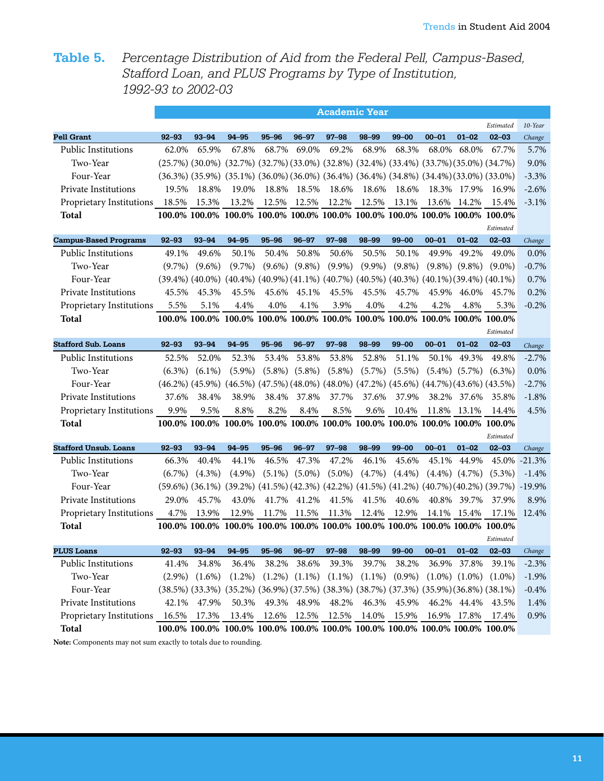# **Table 5.** *Percentage Distribution of Aid from the Federal Pell, Campus-Based, Stafford Loan, and PLUS Programs by Type of Institution, 1992-93 to 2002-03*

|                              | <b>Academic Year</b> |                       |                                                                                                                                 |           |           |           |                                                                                                    |           |           |                   |           |          |  |
|------------------------------|----------------------|-----------------------|---------------------------------------------------------------------------------------------------------------------------------|-----------|-----------|-----------|----------------------------------------------------------------------------------------------------|-----------|-----------|-------------------|-----------|----------|--|
|                              |                      |                       |                                                                                                                                 |           |           |           |                                                                                                    |           |           |                   | Estimated | 10-Year  |  |
| <b>Pell Grant</b>            | $92 - 93$            | $93 - 94$             | 94-95                                                                                                                           | $95 - 96$ | $96 - 97$ | $97 - 98$ | 98-99                                                                                              | $99 - 00$ | $00 - 01$ | $01 - 02$         | $02 - 03$ | Change   |  |
| <b>Public Institutions</b>   | 62.0%                | 65.9%                 | 67.8%                                                                                                                           | 68.7%     | 69.0%     | 69.2%     | 68.9%                                                                                              | 68.3%     | 68.0%     | 68.0%             | 67.7%     | 5.7%     |  |
| Two-Year                     |                      | $(25.7\%)$ $(30.0\%)$ | $(32.7%)$ $(32.7%)$ $(33.0%)$ $(32.8%)$ $(32.4%)$ $(33.4%)$ $(33.7%)$ $(35.0%)$ $(34.7%)$                                       |           |           |           |                                                                                                    |           |           |                   |           | 9.0%     |  |
| Four-Year                    |                      |                       | $(36.3\%)$ $(35.9\%)$ $(35.1\%)$ $(36.0\%)$ $(36.0\%)$ $(36.4\%)$ $(36.4\%)$ $(34.8\%)$ $(34.4\%)$ $(33.0\%)$ $(33.0\%)$        |           |           |           |                                                                                                    |           |           |                   |           | $-3.3%$  |  |
| <b>Private Institutions</b>  | 19.5%                | 18.8%                 | 19.0%                                                                                                                           | 18.8%     | 18.5%     | 18.6%     | 18.6%                                                                                              | 18.6%     | 18.3%     | 17.9%             | 16.9%     | $-2.6%$  |  |
| Proprietary Institutions     | 18.5%                | 15.3%                 | 13.2%                                                                                                                           | 12.5%     | 12.5%     | 12.2%     | 12.5%                                                                                              | 13.1%     | 13.6%     | 14.2%             | 15.4%     | $-3.1%$  |  |
| <b>Total</b>                 |                      |                       | 100.0% 100.0% 100.0% 100.0% 100.0% 100.0% 100.0% 100.0% 100.0% 100.0% 100.0%                                                    |           |           |           |                                                                                                    |           |           |                   |           |          |  |
|                              |                      |                       |                                                                                                                                 |           |           |           |                                                                                                    |           |           |                   | Estimated |          |  |
| <b>Campus-Based Programs</b> | $92 - 93$            | 93-94                 | 94-95                                                                                                                           | $95 - 96$ | $96 - 97$ | $97 - 98$ | 98-99                                                                                              | $99 - 00$ | $00 - 01$ | $01 - 02$         | $02 - 03$ | Change   |  |
| <b>Public Institutions</b>   | 49.1%                | 49.6%                 | 50.1%                                                                                                                           | 50.4%     | 50.8%     | 50.6%     | 50.5%                                                                                              | 50.1%     | 49.9%     | 49.2%             | 49.0%     | $0.0\%$  |  |
| Two-Year                     | $(9.7\%)$            | $(9.6\%)$             | $(9.7\%)$                                                                                                                       | $(9.6\%)$ | $(9.8\%)$ | $(9.9\%)$ | $(9.9\%)$                                                                                          | $(9.8\%)$ | $(9.8\%)$ | $(9.8\%)$         | $(9.0\%)$ | $-0.7%$  |  |
| Four-Year                    |                      | $(39.4\%) (40.0\%)$   |                                                                                                                                 |           |           |           | $(40.4\%)$ $(40.9\%)$ $(41.1\%)$ $(40.7\%)$ $(40.5\%)$ $(40.3\%)$ $(40.1\%)$ $(39.4\%)$ $(40.1\%)$ |           |           |                   |           | 0.7%     |  |
| Private Institutions         | 45.5%                | 45.3%                 | 45.5%                                                                                                                           | 45.6%     | 45.1%     | 45.5%     | 45.5%                                                                                              | 45.7%     | 45.9%     | 46.0%             | 45.7%     | 0.2%     |  |
| Proprietary Institutions     | 5.5%                 | 5.1%                  | 4.4%                                                                                                                            | 4.0%      | 4.1%      | 3.9%      | 4.0%                                                                                               | 4.2%      | 4.2%      | 4.8%              | 5.3%      | $-0.2%$  |  |
| <b>Total</b>                 |                      |                       | 100.0% 100.0% 100.0% 100.0% 100.0% 100.0% 100.0% 100.0% 100.0% 100.0% 100.0%                                                    |           |           |           |                                                                                                    |           |           |                   |           |          |  |
|                              |                      |                       |                                                                                                                                 |           |           |           |                                                                                                    |           |           |                   | Estimated |          |  |
| <b>Stafford Sub. Loans</b>   | $92 - 93$            | $93 - 94$             | 94-95                                                                                                                           | $95 - 96$ | $96 - 97$ | $97 - 98$ | 98-99                                                                                              | $99 - 00$ | $00 - 01$ | $01 - 02$         | $02 - 03$ | Change   |  |
| <b>Public Institutions</b>   | 52.5%                | 52.0%                 | 52.3%                                                                                                                           | 53.4%     | 53.8%     | 53.8%     | 52.8%                                                                                              | 51.1%     | 50.1%     | 49.3%             | 49.8%     | $-2.7%$  |  |
| Two-Year                     | $(6.3\%)$            | $(6.1\%)$             | $(5.9\%)$                                                                                                                       | $(5.8\%)$ | $(5.8\%)$ | $(5.8\%)$ | $(5.7\%)$                                                                                          | $(5.5\%)$ | $(5.4\%)$ | $(5.7\%)$         | $(6.3\%)$ | 0.0%     |  |
| Four-Year                    |                      |                       | $(46.2\%)$ $(45.9\%)$ $(46.5\%)$ $(47.5\%)$ $(48.0\%)$ $(48.0\%)$ $(47.2\%)$ $(45.6\%)$ $(44.7\%)$ $(43.6\%)$ $(43.5\%)$        |           |           |           |                                                                                                    |           |           |                   |           | $-2.7%$  |  |
| Private Institutions         | 37.6%                | 38.4%                 | 38.9%                                                                                                                           | 38.4%     | 37.8%     | 37.7%     | 37.6%                                                                                              | 37.9%     | 38.2%     | 37.6%             | 35.8%     | $-1.8%$  |  |
| Proprietary Institutions     | 9.9%                 | 9.5%                  | 8.8%                                                                                                                            | 8.2%      | 8.4%      | 8.5%      | 9.6%                                                                                               | 10.4%     |           | 11.8% 13.1%       | 14.4%     | 4.5%     |  |
| <b>Total</b>                 |                      |                       | 100.0% 100.0% 100.0% 100.0% 100.0% 100.0% 100.0% 100.0% 100.0% 100.0% 100.0%                                                    |           |           |           |                                                                                                    |           |           |                   |           |          |  |
|                              |                      |                       |                                                                                                                                 |           |           |           |                                                                                                    |           |           |                   | Estimated |          |  |
| <b>Stafford Unsub. Loans</b> | $92 - 93$            | $93 - 94$             | 94-95                                                                                                                           | $95 - 96$ | $96 - 97$ | $97 - 98$ | 98-99                                                                                              | $99 - 00$ | $00 - 01$ | $01 - 02$         | $02 - 03$ | Change   |  |
| <b>Public Institutions</b>   | 66.3%                | 40.4%                 | 44.1%                                                                                                                           | 46.5%     | 47.3%     | 47.2%     | 46.1%                                                                                              | 45.6%     | 45.1%     | 44.9%             | 45.0%     | $-21.3%$ |  |
| Two-Year                     | $(6.7\%)$            | $(4.3\%)$             | $(4.9\%)$                                                                                                                       | $(5.1\%)$ | $(5.0\%)$ | $(5.0\%)$ | $(4.7\%)$                                                                                          | $(4.4\%)$ | $(4.4\%)$ | $(4.7\%)$         | $(5.3\%)$ | $-1.4%$  |  |
| Four-Year                    |                      |                       | $(59.6\%)$ $(36.1\%)$ $(39.2\%)$ $(41.5\%)$ $(42.3\%)$ $(42.2\%)$ $(41.5\%)$ $(41.2\%)$ $(40.7\%)$ $(40.2\%)$ $(39.7\%)$ -19.9% |           |           |           |                                                                                                    |           |           |                   |           |          |  |
| Private Institutions         | 29.0%                | 45.7%                 | 43.0%                                                                                                                           | 41.7%     | 41.2%     | 41.5%     | 41.5%                                                                                              | 40.6%     | 40.8%     | 39.7%             | 37.9%     | 8.9%     |  |
| Proprietary Institutions     | 4.7%                 | 13.9%                 | 12.9%                                                                                                                           | 11.7%     | 11.5%     | 11.3%     | 12.4%                                                                                              | 12.9%     | 14.1%     | 15.4%             | 17.1%     | 12.4%    |  |
| <b>Total</b>                 |                      |                       | 100.0% 100.0% 100.0% 100.0% 100.0% 100.0% 100.0% 100.0% 100.0% 100.0% 100.0%                                                    |           |           |           |                                                                                                    |           |           |                   |           |          |  |
|                              |                      |                       |                                                                                                                                 |           |           |           |                                                                                                    |           |           |                   | Estimated |          |  |
| <b>PLUS Loans</b>            | 92–93                | $93 - 94$             | 94–95                                                                                                                           | $95 - 96$ | $96 - 97$ | $97 - 98$ | 98-99                                                                                              | $99 - 00$ | 00–01     | 01–02             | $02 - 03$ | Change   |  |
| Public Institutions          | 41.4%                | 34.8%                 | 36.4%                                                                                                                           | 38.2%     | 38.6%     | 39.3%     | 39.7%                                                                                              | 38.2%     | 36.9%     | 37.8%             | 39.1%     | $-2.3%$  |  |
| Two-Year                     | $(2.9\%)$            | $(1.6\%)$             | $(1.2\%)$                                                                                                                       | $(1.2\%)$ | $(1.1\%)$ | $(1.1\%)$ | $(1.1\%)$                                                                                          | $(0.9\%)$ |           | $(1.0\%) (1.0\%)$ | $(1.0\%)$ | $-1.9\%$ |  |
| Four-Year                    |                      |                       | $(38.5%)$ $(33.3%)$ $(35.2%)$ $(36.9%)$ $(37.5%)$ $(38.3%)$ $(38.7%)$ $(37.3%)$ $(35.9%)$ $(36.8%)$ $(38.1%)$                   |           |           |           |                                                                                                    |           |           |                   |           | $-0.4%$  |  |
| Private Institutions         | 42.1%                | 47.9%                 | 50.3%                                                                                                                           | 49.3%     | 48.9%     | 48.2%     | 46.3%                                                                                              | 45.9%     |           | 46.2% 44.4%       | 43.5%     | 1.4%     |  |
| Proprietary Institutions     | 16.5%                | 17.3%                 | 13.4%                                                                                                                           | 12.6%     | 12.5%     | 12.5%     | 14.0%                                                                                              | 15.9%     |           | 16.9% 17.8%       | 17.4%     | 0.9%     |  |
| <b>Total</b>                 |                      |                       | 100.0% 100.0% 100.0% 100.0% 100.0% 100.0% 100.0% 100.0% 100.0% 100.0% 100.0%                                                    |           |           |           |                                                                                                    |           |           |                   |           |          |  |

**Note:** Components may not sum exactly to totals due to rounding.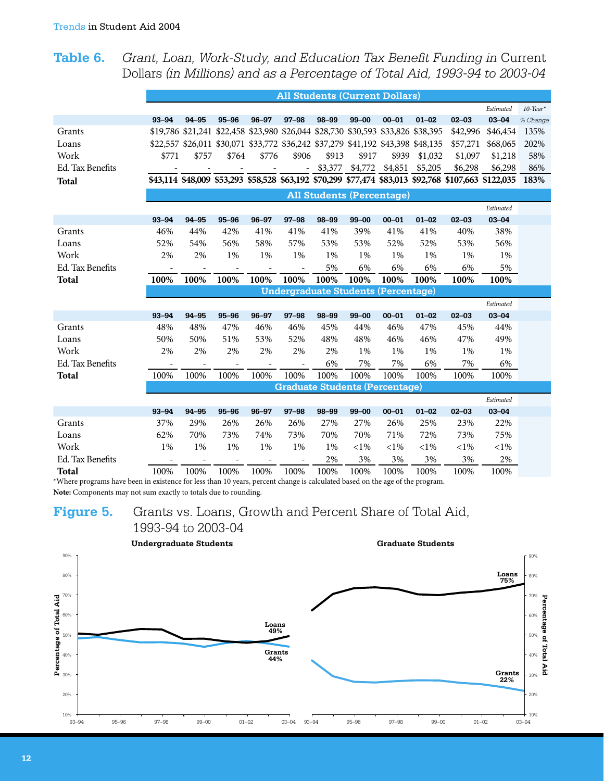Grant, Loan, Work-Study, and Education Tax Benefit Funding in Current Table 6. Dollars (in Millions) and as a Percentage of Total Aid, 1993-94 to 2003-04

|                  | <b>All Students (Current Dollars)</b><br>Estimated |       |                                                                                  |           |           |         |                                            |           |           |                                                                                                      |           |             |  |
|------------------|----------------------------------------------------|-------|----------------------------------------------------------------------------------|-----------|-----------|---------|--------------------------------------------|-----------|-----------|------------------------------------------------------------------------------------------------------|-----------|-------------|--|
|                  |                                                    |       |                                                                                  |           |           |         |                                            |           |           |                                                                                                      |           | $10$ -Year* |  |
|                  | $93 - 94$                                          | 94-95 | $95 - 96$                                                                        | $96 - 97$ | $97 - 98$ | 98-99   | $99 - 00$                                  | $00 - 01$ | $01 - 02$ | $02 - 03$                                                                                            | $03 - 04$ | % Change    |  |
| Grants           |                                                    |       | \$19,786 \$21,241 \$22,458 \$23,980 \$26,044 \$28,730 \$30,593 \$33,826 \$38,395 |           |           |         |                                            |           |           | \$42,996                                                                                             | \$46,454  | 135%        |  |
| Loans            |                                                    |       | \$22,557 \$26,011 \$30,071 \$33,772 \$36,242 \$37,279 \$41,192 \$43,398 \$48,135 |           |           |         |                                            |           |           | \$57,271                                                                                             | \$68,065  | 202%        |  |
| Work             | \$771                                              | \$757 | \$764                                                                            | \$776     | \$906     | \$913   | \$917                                      | \$939     | \$1,032   | \$1,097                                                                                              | \$1,218   | 58%         |  |
| Ed. Tax Benefits |                                                    |       |                                                                                  |           | $\sim$    | \$3,377 | \$4,772 \$4,851                            |           | \$5,205   | \$6,298                                                                                              | \$6,298   | 86%         |  |
| <b>Total</b>     |                                                    |       |                                                                                  |           |           |         |                                            |           |           | \$43,114 \$48,009 \$53,293 \$58,528 \$63,192 \$70,299 \$77,474 \$83,013 \$92,768 \$107,663 \$122,035 |           | 183%        |  |
|                  |                                                    |       |                                                                                  |           |           |         | <b>All Students (Percentage)</b>           |           |           |                                                                                                      |           |             |  |
|                  |                                                    |       |                                                                                  |           |           |         |                                            |           |           |                                                                                                      | Estimated |             |  |
|                  | $93 - 94$                                          | 94-95 | $95 - 96$                                                                        | $96 - 97$ | $97 - 98$ | 98-99   | $99 - 00$                                  | $00 - 01$ | $01 - 02$ | $02 - 03$                                                                                            | $03 - 04$ |             |  |
| Grants           | 46%                                                | 44%   | 42%                                                                              | 41%       | 41%       | 41%     | 39%                                        | 41%       | 41%       | 40%                                                                                                  | 38%       |             |  |
| Loans            | 52%                                                | 54%   | 56%                                                                              | 58%       | 57%       | 53%     | 53%                                        | 52%       | 52%       | 53%                                                                                                  | 56%       |             |  |
| Work             | 2%                                                 | 2%    | 1%                                                                               | 1%        | 1%        | 1%      | 1%                                         | 1%        | 1%        | 1%                                                                                                   | 1%        |             |  |
| Ed. Tax Benefits |                                                    |       |                                                                                  |           |           | 5%      | 6%                                         | 6%        | 6%        | 6%                                                                                                   | 5%        |             |  |
| <b>Total</b>     | 100%                                               | 100%  | 100%                                                                             | 100%      | 100%      | 100%    | 100%                                       | 100%      | 100%      | 100%                                                                                                 | 100%      |             |  |
|                  |                                                    |       |                                                                                  |           |           |         | <b>Undergraduate Students (Percentage)</b> |           |           |                                                                                                      |           |             |  |
|                  |                                                    |       |                                                                                  |           |           |         |                                            |           |           |                                                                                                      | Estimated |             |  |
|                  | 93-94                                              | 94-95 | $95 - 96$                                                                        | $96 - 97$ | $97 - 98$ | 98-99   | $99 - 00$                                  | $00 - 01$ | $01 - 02$ | $02 - 03$                                                                                            | $03 - 04$ |             |  |
| Grants           | 48%                                                | 48%   | 47%                                                                              | 46%       | 46%       | 45%     | 44%                                        | 46%       | 47%       | 45%                                                                                                  | 44%       |             |  |
| Loans            | 50%                                                | 50%   | 51%                                                                              | 53%       | 52%       | 48%     | 48%                                        | 46%       | 46%       | 47%                                                                                                  | 49%       |             |  |
| Work             | 2%                                                 | 2%    | 2%                                                                               | 2%        | 2%        | 2%      | 1%                                         | 1%        | 1%        | 1%                                                                                                   | 1%        |             |  |
| Ed. Tax Benefits |                                                    |       |                                                                                  |           |           | 6%      | 7%                                         | 7%        | 6%        | 7%                                                                                                   | 6%        |             |  |
| <b>Total</b>     | 100%                                               | 100%  | 100%                                                                             | 100%      | 100%      | 100%    | 100%                                       | 100%      | 100%      | 100%                                                                                                 | 100%      |             |  |
|                  |                                                    |       |                                                                                  |           |           |         | <b>Graduate Students (Percentage)</b>      |           |           |                                                                                                      |           |             |  |
|                  |                                                    |       |                                                                                  |           |           |         |                                            |           |           |                                                                                                      | Estimated |             |  |
|                  | 93-94                                              | 94-95 | $95 - 96$                                                                        | $96 - 97$ | $97 - 98$ | 98-99   | $99 - 00$                                  | $00 - 01$ | $01 - 02$ | $02 - 03$                                                                                            | $03 - 04$ |             |  |
| Grants           | 37%                                                | 29%   | 26%                                                                              | 26%       | 26%       | 27%     | 27%                                        | 26%       | 25%       | 23%                                                                                                  | 22%       |             |  |
| Loans            | 62%                                                | 70%   | 73%                                                                              | 74%       | 73%       | 70%     | 70%                                        | 71%       | 72%       | 73%                                                                                                  | 75%       |             |  |
| Work             | 1%                                                 | $1\%$ | $1\%$                                                                            | $1\%$     | 1%        | 1%      | ${<}1\%$                                   | ${<}1\%$  | ${<}1\%$  | ${<}1\%$                                                                                             | ${<}1\%$  |             |  |
| Ed. Tax Benefits |                                                    |       |                                                                                  |           |           | 2%      | 3%                                         | 3%        | 3%        | 3%                                                                                                   | 2%        |             |  |
| Total            | 100%                                               | 100%  | 100%                                                                             | 100%      | 100%      | 100%    | 100%                                       | 100%      | 100%      | 100%                                                                                                 | 100%      |             |  |

Total 100% 100% 100% 100% 100% 100% 100% 100% 100% 100% \*Where programs have been in existence for less than 10 years, percent change is calculated based on the age of the program. Note: Components may not sum exactly to totals due to rounding.

#### Grants vs. Loans, Growth and Percent Share of Total Aid, Figure 5. 1993-94 to 2003-04

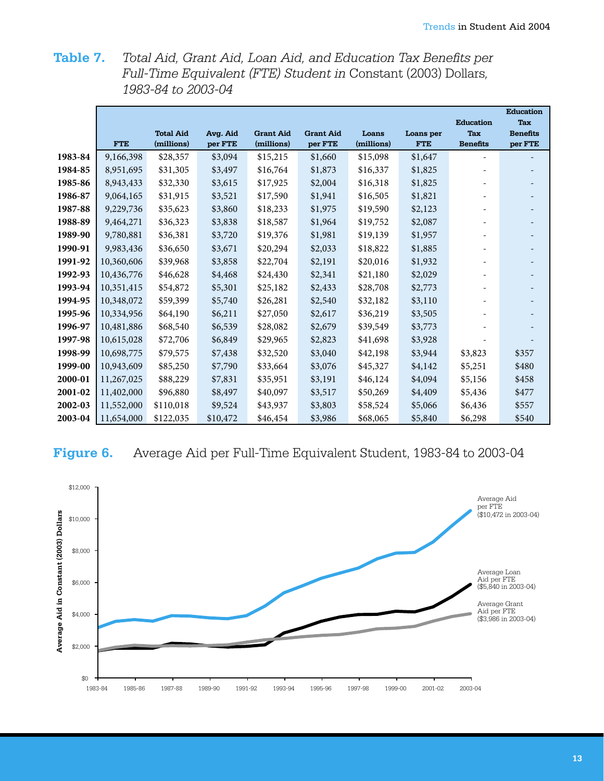Total Aid, Grant Aid, Loan Aid, and Education Tax Benefits per Table 7. Full-Time Equivalent (FTE) Student in Constant (2003) Dollars, 1983-84 to 2003-04

|         |            |                  |          |                  |                  |            |            |                  | <b>Education</b> |
|---------|------------|------------------|----------|------------------|------------------|------------|------------|------------------|------------------|
|         |            |                  |          |                  |                  |            |            | <b>Education</b> | <b>Tax</b>       |
|         |            | <b>Total Aid</b> | Avg. Aid | <b>Grant Aid</b> | <b>Grant Aid</b> | Loans      | Loans per  | <b>Tax</b>       | <b>Benefits</b>  |
|         | <b>FTE</b> | (millions)       | per FTE  | (millions)       | per FTE          | (millions) | <b>FTE</b> | <b>Benefits</b>  | per FTE          |
| 1983-84 | 9,166,398  | \$28,357         | \$3,094  | \$15,215         | \$1,660          | \$15,098   | \$1,647    |                  |                  |
| 1984-85 | 8,951,695  | \$31,305         | \$3,497  | \$16,764         | \$1,873          | \$16,337   | \$1,825    |                  |                  |
| 1985-86 | 8,943,433  | \$32,330         | \$3,615  | \$17,925         | \$2,004          | \$16,318   | \$1,825    |                  |                  |
| 1986-87 | 9,064,165  | \$31,915         | \$3,521  | \$17,590         | \$1,941          | \$16,505   | \$1,821    |                  |                  |
| 1987-88 | 9,229,736  | \$35,623         | \$3,860  | \$18,233         | \$1,975          | \$19,590   | \$2,123    |                  |                  |
| 1988-89 | 9,464,271  | \$36,323         | \$3,838  | \$18,587         | \$1,964          | \$19,752   | \$2,087    |                  |                  |
| 1989-90 | 9,780,881  | \$36,381         | \$3,720  | \$19,376         | \$1,981          | \$19,139   | \$1,957    |                  |                  |
| 1990-91 | 9,983,436  | \$36,650         | \$3,671  | \$20,294         | \$2,033          | \$18,822   | \$1,885    |                  |                  |
| 1991-92 | 10,360,606 | \$39,968         | \$3,858  | \$22,704         | \$2,191          | \$20,016   | \$1,932    |                  |                  |
| 1992-93 | 10,436,776 | \$46,628         | \$4,468  | \$24,430         | \$2,341          | \$21,180   | \$2,029    |                  |                  |
| 1993-94 | 10,351,415 | \$54,872         | \$5,301  | \$25,182         | \$2,433          | \$28,708   | \$2,773    |                  |                  |
| 1994-95 | 10,348,072 | \$59,399         | \$5,740  | \$26,281         | \$2,540          | \$32,182   | \$3,110    |                  |                  |
| 1995-96 | 10,334,956 | \$64,190         | \$6,211  | \$27,050         | \$2,617          | \$36,219   | \$3,505    |                  |                  |
| 1996-97 | 10,481,886 | \$68,540         | \$6,539  | \$28,082         | \$2,679          | \$39,549   | \$3,773    |                  |                  |
| 1997-98 | 10,615,028 | \$72,706         | \$6,849  | \$29,965         | \$2,823          | \$41,698   | \$3,928    |                  |                  |
| 1998-99 | 10,698,775 | \$79,575         | \$7,438  | \$32,520         | \$3,040          | \$42,198   | \$3,944    | \$3,823          | \$357            |
| 1999-00 | 10,943,609 | \$85,250         | \$7,790  | \$33,664         | \$3,076          | \$45,327   | \$4,142    | \$5,251          | \$480            |
| 2000-01 | 11,267,025 | \$88,229         | \$7,831  | \$35,951         | \$3,191          | \$46,124   | \$4,094    | \$5,156          | \$458            |
| 2001-02 | 11,402,000 | \$96,880         | \$8,497  | \$40,097         | \$3,517          | \$50,269   | \$4,409    | \$5,436          | \$477            |
| 2002-03 | 11,552,000 | \$110,018        | \$9,524  | \$43,937         | \$3,803          | \$58,524   | \$5,066    | \$6,436          | \$557            |
| 2003-04 | 11,654,000 | \$122,035        | \$10,472 | \$46,454         | \$3,986          | \$68,065   | \$5,840    | \$6,298          | \$540            |

## Figure 6.

Average Aid per Full-Time Equivalent Student, 1983-84 to 2003-04

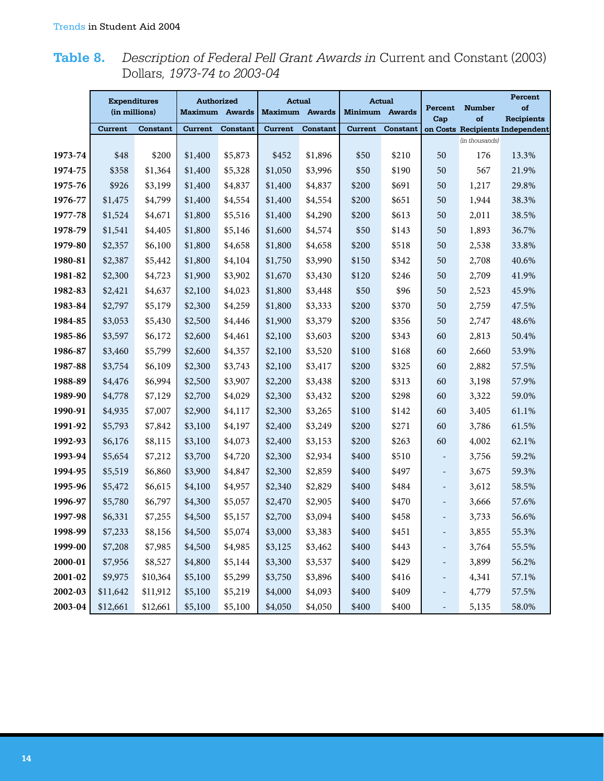# **Table 8.** *Description of Federal Pell Grant Awards in* Current and Constant (2003) Dollars*, 1973-74 to 2003-04*

|             |          | <b>Expenditures</b> | <b>Authorized</b>     |          |                       | <b>Actual</b>   | <b>Actual</b>  |          |                              |                     | Percent                         |
|-------------|----------|---------------------|-----------------------|----------|-----------------------|-----------------|----------------|----------|------------------------------|---------------------|---------------------------------|
|             |          | (in millions)       | <b>Maximum</b> Awards |          | <b>Maximum</b> Awards |                 | Minimum Awards |          | Percent<br>Cap               | <b>Number</b><br>of | of<br><b>Recipients</b>         |
|             | Current  | <b>Constant</b>     | <b>Current</b>        | Constant | Current               | <b>Constant</b> | <b>Current</b> | Constant |                              |                     | on Costs Recipients Independent |
|             |          |                     |                       |          |                       |                 |                |          |                              | (in thousands)      |                                 |
| 1973-74     | \$48     | \$200               | \$1,400               | \$5,873  | \$452                 | \$1,896         | \$50           | \$210    | 50                           | 176                 | 13.3%                           |
| 1974-75     | \$358    | \$1,364             | \$1,400               | \$5,328  | \$1,050               | \$3,996         | \$50           | \$190    | 50                           | 567                 | 21.9%                           |
| 1975-76     | \$926    | \$3,199             | \$1,400               | \$4,837  | \$1,400               | \$4,837         | \$200          | \$691    | 50                           | 1,217               | 29.8%                           |
| 1976-77     | \$1,475  | \$4,799             | \$1,400               | \$4,554  | \$1,400               | \$4,554         | \$200          | \$651    | 50                           | 1,944               | 38.3%                           |
| 1977-78     | \$1,524  | \$4,671             | \$1,800               | \$5,516  | \$1,400               | \$4,290         | \$200          | \$613    | 50                           | 2,011               | 38.5%                           |
| 1978-79     | \$1,541  | \$4,405             | \$1,800               | \$5,146  | \$1,600               | \$4,574         | \$50           | \$143    | 50                           | 1,893               | 36.7%                           |
| 1979-80     | \$2,357  | \$6,100             | \$1,800               | \$4,658  | \$1,800               | \$4,658         | \$200          | \$518    | 50                           | 2,538               | 33.8%                           |
| 1980-81     | \$2,387  | \$5,442             | \$1,800               | \$4,104  | \$1,750               | \$3,990         | \$150          | \$342    | 50                           | 2,708               | 40.6%                           |
| 1981-82     | \$2,300  | \$4,723             | \$1,900               | \$3,902  | \$1,670               | \$3,430         | \$120          | \$246    | 50                           | 2,709               | 41.9%                           |
| 1982-83     | \$2,421  | \$4,637             | \$2,100               | \$4,023  | \$1,800               | \$3,448         | \$50           | \$96     | 50                           | 2,523               | 45.9%                           |
| 1983-84     | \$2,797  | \$5,179             | \$2,300               | \$4,259  | \$1,800               | \$3,333         | \$200          | \$370    | 50                           | 2,759               | 47.5%                           |
| 1984-85     | \$3,053  | \$5,430             | \$2,500               | \$4,446  | \$1,900               | \$3,379         | \$200          | \$356    | 50                           | 2,747               | 48.6%                           |
| 1985-86     | \$3,597  | \$6,172             | \$2,600               | \$4,461  | \$2,100               | \$3,603         | \$200          | \$343    | 60                           | 2,813               | 50.4%                           |
| 1986-87     | \$3,460  | \$5,799             | \$2,600               | \$4,357  | \$2,100               | \$3,520         | \$100          | \$168    | 60                           | 2,660               | 53.9%                           |
| 1987-88     | \$3,754  | \$6,109             | \$2,300               | \$3,743  | \$2,100               | \$3,417         | \$200          | \$325    | 60                           | 2,882               | 57.5%                           |
| 1988-89     | \$4,476  | \$6,994             | \$2,500               | \$3,907  | \$2,200               | \$3,438         | \$200          | \$313    | 60                           | 3,198               | 57.9%                           |
| 1989-90     | \$4,778  | \$7,129             | \$2,700               | \$4,029  | \$2,300               | \$3,432         | \$200          | \$298    | 60                           | 3,322               | 59.0%                           |
| 1990-91     | \$4,935  | \$7,007             | \$2,900               | \$4,117  | \$2,300               | \$3,265         | \$100          | \$142    | 60                           | 3,405               | 61.1%                           |
| 1991-92     | \$5,793  | \$7,842             | \$3,100               | \$4,197  | \$2,400               | \$3,249         | \$200          | \$271    | 60                           | 3,786               | 61.5%                           |
| 1992-93     | \$6,176  | \$8,115             | \$3,100               | \$4,073  | \$2,400               | \$3,153         | \$200          | \$263    | 60                           | 4,002               | 62.1%                           |
| 1993-94     | \$5,654  | \$7,212             | \$3,700               | \$4,720  | \$2,300               | \$2,934         | \$400          | \$510    | $\overline{\phantom{m}}$     | 3,756               | 59.2%                           |
| 1994-95     | \$5,519  | \$6,860             | \$3,900               | \$4,847  | \$2,300               | \$2,859         | \$400          | \$497    | $\overline{\phantom{a}}$     | 3,675               | 59.3%                           |
| 1995-96     | \$5,472  | \$6,615             | \$4,100               | \$4,957  | \$2,340               | \$2,829         | \$400          | \$484    | $\overline{\phantom{a}}$     | 3,612               | 58.5%                           |
| 1996-97     | \$5,780  | \$6,797             | \$4,300               | \$5,057  | \$2,470               | \$2,905         | \$400          | \$470    | $\overline{a}$               | 3,666               | 57.6%                           |
| 1997-98     | \$6,331  | \$7,255             | \$4,500               | \$5,157  | \$2,700               | \$3,094         | \$400          | \$458    | $\overline{\phantom{a}}$     | 3,733               | 56.6%                           |
| 1998-99     | \$7,233  | \$8,156             | \$4,500               | \$5,074  | \$3,000               | \$3,383         | \$400          | \$451    |                              | 3,855               | 55.3%                           |
| 1999-00     | \$7,208  | \$7,985             | \$4,500               | \$4,985  | \$3,125               | \$3,462         | \$400          | \$443    | $\overline{\phantom{0}}$     | 3,764               | 55.5%                           |
| 2000-01     | \$7,956  | \$8,527             | \$4,800               | \$5,144  | \$3,300               | \$3,537         | \$400          | \$429    | Ξ.                           | 3,899               | 56.2%                           |
| $2001 - 02$ | \$9,975  | \$10,364            | \$5,100               | \$5,299  | \$3,750               | \$3,896         | \$400          | \$416    | -                            | 4,341               | 57.1%                           |
| 2002-03     | \$11,642 | \$11,912            | \$5,100               | \$5,219  | \$4,000               | \$4,093         | \$400          | \$409    | -                            | 4,779               | 57.5%                           |
| 2003-04     | \$12,661 | \$12,661            | \$5,100               | \$5,100  | \$4,050               | \$4,050         | \$400          | \$400    | $\qquad \qquad \blacksquare$ | 5,135               | 58.0%                           |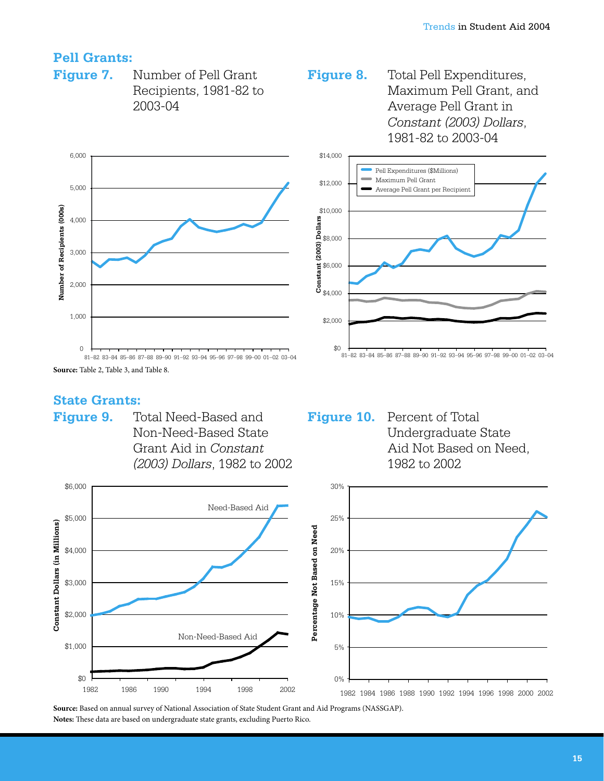# **Pell Grants:**

**Figure 7.** 

Number of Pell Grant Recipients, 1981-82 to  $2003 - 04$ 



Figure 8. Total Pell Expenditures, Maximum Pell Grant, and Average Pell Grant in Constant (2003) Dollars, 1981-82 to 2003-04



## **State Grants:**

Figure 9. Total Need-Based and Non-Need-Based State Grant Aid in Constant (2003) Dollars, 1982 to 2002 **Figure 10.** Percent of Total Undergraduate State Aid Not Based on Need, 1982 to 2002



Source: Based on annual survey of National Association of State Student Grant and Aid Programs (NASSGAP). Notes: These data are based on undergraduate state grants, excluding Puerto Rico.

Source: Table 2, Table 3, and Table 8.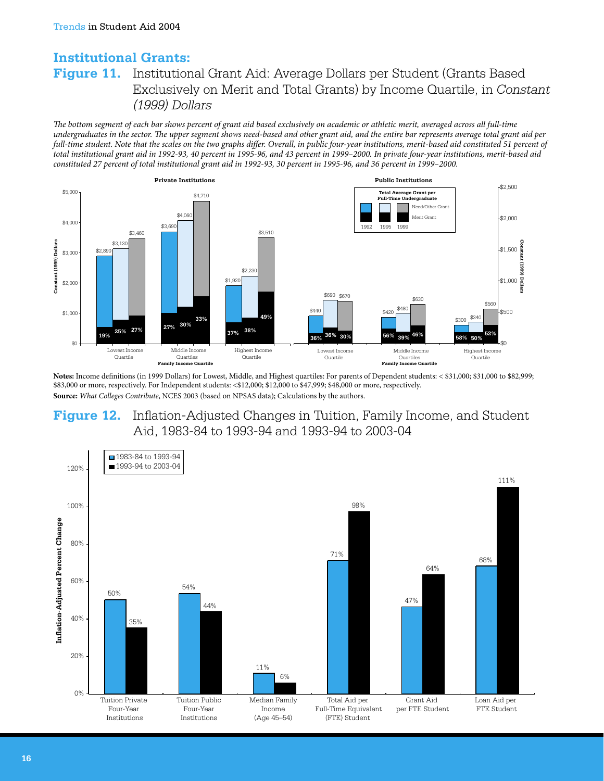# **Institutional Grants: Figure 11.** Institutional Grant Aid: Average Dollars per Student (Grants Based Exclusively on Merit and Total Grants) by Income Quartile, in Constant (1999) Dollars

The bottom segment of each bar shows percent of grant aid based exclusively on academic or athletic merit, averaged across all full-time undergraduates in the sector. The upper segment shows need-based and other grant aid, and the entire bar represents average total grant aid per full-time student. Note that the scales on the two graphs differ. Overall, in public four-year institutions, merit-based aid constituted 51 percent of total institutional grant aid in 1992-93, 40 percent in 1995-96, and 43 percent in 1999–2000. In private four-year institutions, merit-based aid constituted 27 percent of total institutional grant aid in 1992-93, 30 percent in 1995-96, and 36 percent in 1999-2000.



Notes: Income definitions (in 1999 Dollars) for Lowest, Middle, and Highest quartiles: For parents of Dependent students: < \$31,000; \$31,000 to \$82,999; \$83,000 or more, respectively. For Independent students: <\$12,000; \$12,000 to \$47,999; \$48,000 or more, respectively. Source: What Colleges Contribute, NCES 2003 (based on NPSAS data); Calculations by the authors.

## **Figure 12.** Inflation-Adjusted Changes in Tuition, Family Income, and Student Aid, 1983-84 to 1993-94 and 1993-94 to 2003-04

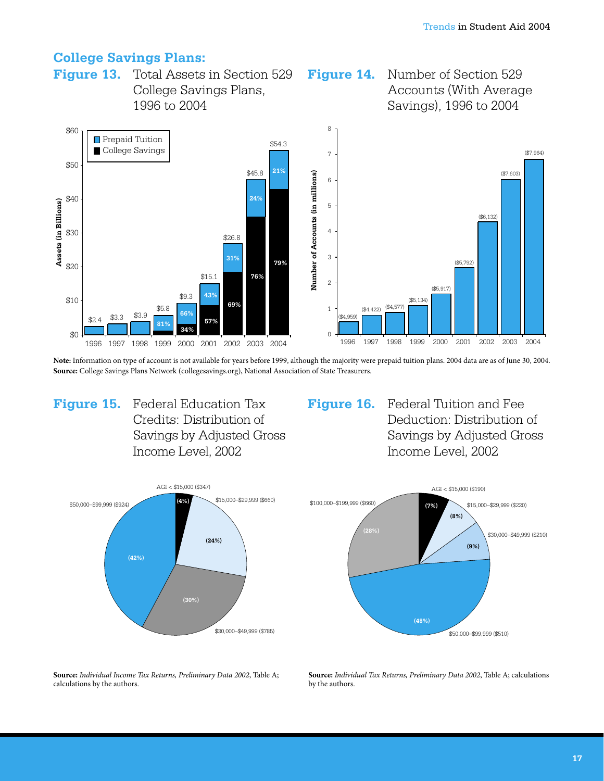### **College Savings Plans:**

**Figure 13.** Total Assets in Section 529 Figure 14. Number of Section 529 College Savings Plans, Accounts (With Average 1996 to 2004 Savings), 1996 to 2004



Note: Information on type of account is not available for years before 1999, although the majority were prepaid tuition plans. 2004 data are as of June 30, 2004. Source: College Savings Plans Network (collegesavings.org), National Association of State Treasurers.

Figure 15. Federal Education Tax Credits: Distribution of Savings by Adjusted Gross Income Level, 2002

AGI < \$15,000 (\$347) \$15,000-\$29,999 (\$660)  $(4%$ \$50,000-\$99.999 (\$924)  $(24%)$  $(42%)$  $(30%)$ \$30,000-\$49,999 (\$785)

Figure 16. Federal Tuition and Fee Deduction: Distribution of Savings by Adjusted Gross Income Level, 2002



Source: Individual Income Tax Returns, Preliminary Data 2002, Table A; calculations by the authors.

Source: Individual Tax Returns, Preliminary Data 2002, Table A; calculations by the authors.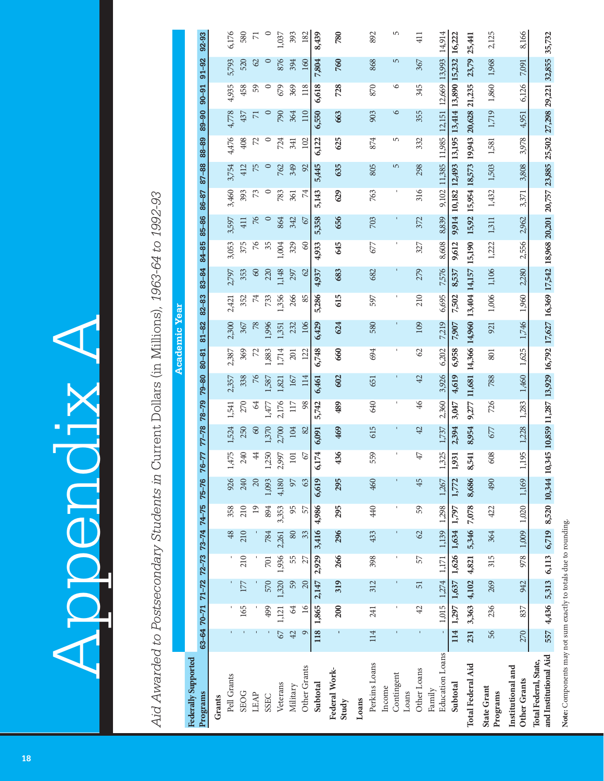# Appendix A Appendix A

|                                                   |                      |                     | 92-93                  |        | 6,176         | 580         | $\overline{\triangledown}$ | $\circ$ | 1,037    | 393      | 182           | 8,439    | 780                    |       | 892           | 5                             | 411             | 14,914                           |                                                        | 25,441                            | 2,125                   | 8,166                             | 35,732                                                                                                                       |
|---------------------------------------------------|----------------------|---------------------|------------------------|--------|---------------|-------------|----------------------------|---------|----------|----------|---------------|----------|------------------------|-------|---------------|-------------------------------|-----------------|----------------------------------|--------------------------------------------------------|-----------------------------------|-------------------------|-----------------------------------|------------------------------------------------------------------------------------------------------------------------------|
|                                                   |                      |                     | $91 - 92$              |        | 5,793         | 520         | $\varnothing$              | $\circ$ | 876      | 394      | 160           | 7,804    | 760                    |       | 868           | $\overline{5}$                | 367             |                                  | 9,914 10,182 12,493 13,195 13,414 13,890 15,232 16,222 | 23,79                             | 1,968                   | 7,091                             |                                                                                                                              |
|                                                   |                      |                     | $90 - 91$              |        | 4,935         | 458         | 59                         | $\circ$ | 679      | 369      | 118           | 6,618    | 728                    |       | 870           | $\circ$                       | 345             | 11,985 12,151 12,669 13,993      |                                                        | 21,235                            | 1,860                   | 6,126                             | 8,520 10,344 10,345 10,859 11,287 13,929 16,792 17,627 16,369 17,542 18,968 20,201 20,757 23,885 25,502 27,298 29,221 32,855 |
|                                                   |                      |                     | $06 - 88$              |        | 4,778         | 437         | $\overline{7}$             | $\circ$ | 790      | 364      | 110           | 6,550    | 663                    |       | 903           | $\circ$                       | 355             |                                  |                                                        |                                   | 1,719                   | 4,951                             |                                                                                                                              |
|                                                   |                      |                     | 88-89                  |        | 4,476         | 408         | 72                         | $\circ$ | 724      | 341      | 102           | 6,122    | 625                    |       | 874           | 5                             | 332             |                                  |                                                        |                                   | 1,581                   | 3,978                             |                                                                                                                              |
|                                                   |                      |                     | 87-88                  |        | 3,754         | 412         | 75                         | $\circ$ | 762      | 349      | $\mathcal{S}$ | 5,445    | 635                    |       | 805           | $\overline{5}$                | 298             |                                  |                                                        |                                   | 1,503                   | 3,808                             |                                                                                                                              |
|                                                   |                      |                     | 86-87                  |        | 3,460         | 393         | $73\,$                     | $\circ$ | 783      | 361      | 74            | 5,143    | 629                    |       | 763           | $\,$ I                        | 316             | 9,102 11,385                     |                                                        | 15,92 15,954 18,573 19,943 20,628 | 1,432                   | 3,371                             |                                                                                                                              |
| Current Dollars (in Millions), 1963-64 to 1992-93 |                      |                     | 85-86                  |        | 3,597         | 411         | 76                         | $\circ$ | 864      | 342      | $\mathcal{L}$ | 5,358    | 656                    |       | 703           |                               | 372             | 8,839                            |                                                        |                                   | 1,311                   | 2,962                             |                                                                                                                              |
|                                                   |                      |                     | 84-85                  |        | 3,053         | 375         | $76$                       | 35      | 1,004    | 329      | $\degree$     | 4,933    | 645                    |       | 677           |                               | 327             | 8,608                            | 9,612                                                  | 15,190                            | 1,222                   | 2,556                             |                                                                                                                              |
|                                                   |                      |                     | 83-84                  |        | 2,797         | 353         | $\infty$                   | 220     | 1,148    | 297      | $\infty$      | 4,937    | 683                    |       | 682           |                               | 279             | 7,576                            | 8,537                                                  |                                   | 1,106                   | 2,280                             |                                                                                                                              |
|                                                   |                      |                     | $82 - 83$              |        | 2,421         | 352         | $\overline{7}$             | 733     | 1,356    | 266      | 85            | 5,286    | 615                    |       | 597           | ı                             | 210             | 6,695                            | 7,502                                                  | 13,404 14,157                     | 1,006                   | 1,960                             |                                                                                                                              |
|                                                   | <b>Academic Year</b> |                     | $81 - 82$              |        | 2,300         | 367         | $78$                       | 1,996   | 1,351    | 232      | 106           | 6,429    | 624                    |       | 580           |                               | 109             | 7,219                            | 7,907                                                  |                                   | 921                     | 1,746                             |                                                                                                                              |
|                                                   |                      |                     | $80 - 81$              |        | 2,387         | 369         | 72                         | 1,883   | 1,714    | 201      | 122           | 6,748    | 660                    |       | 694           |                               | ${\cal O}$      | 6,202                            | 6,958                                                  | 11,681 14,366 14,960              | 801                     | 1,625                             |                                                                                                                              |
|                                                   |                      |                     | $79 - 80$              |        | 2,357         | 338         | 76                         | 1,587   | 1,821    | 167      | 114           | 6,461    | 602                    |       | 651           |                               | $\overline{42}$ | 3,926                            | 4,619                                                  |                                   | 788                     | 1,460                             |                                                                                                                              |
|                                                   |                      |                     | $78 - 79$              |        | 1,541         | 270         | $\mathcal{A}$              | 1,477   | 2,176    | 117      | $\frac{8}{3}$ | 5,742    | 489                    |       | 640           | $\overline{\phantom{a}}$      | $\frac{4}{6}$   | 2,360                            | 3,047                                                  | 9,277                             | 726                     | 1,283                             |                                                                                                                              |
|                                                   |                      |                     | $77 - 78$              |        | 1,524         | 250         | $\infty$                   | 1,370   | 2,700    | 104      | $\infty$      | 6,091    | 469                    |       | 615           | $\mathbf I$                   | $\overline{4}$  | 1,737                            | 2,394                                                  | 8,954                             | 677                     | 1,228                             |                                                                                                                              |
|                                                   |                      |                     | $-77$<br>$\mathcal{R}$ |        | 1,475         | 240         | 44                         | 1,250   | 2,997    | $101\,$  | 67            | 6,174    | 436                    |       | 559           |                               | $47\,$          | 1,325                            | 1,931                                                  | 541<br>ထ                          | 608                     | 1,195                             |                                                                                                                              |
|                                                   |                      |                     | $75 - 76$              |        | 926           | 240         | 20                         | 1,093   | 4,180    | 97       | $63$          | 6,619    | 295                    |       | 460           |                               | 45              | 1,267                            | 1,772                                                  | 8,686                             | 490                     | 1,169                             |                                                                                                                              |
|                                                   |                      |                     |                        |        | 358           | 210         | $\overline{a}$             | 894     | 3,353    | 95       | 57            | 4,986    | 295                    |       | 40            | $\,$ I                        | 59              | 1,298                            | 1,797                                                  | 7,078                             | 422                     | 1,020                             |                                                                                                                              |
|                                                   |                      |                     | 72-73 73-74 74-75      |        | $\frac{8}{3}$ | 210         |                            | 784     | 2,261    | 80       | 33            | 3,416    | 296                    |       | 433           |                               | $\mathcal{O}$   | 1,139                            | 1,634                                                  | 5,346                             | 364                     | 1,009                             | 6,719                                                                                                                        |
|                                                   |                      |                     |                        |        |               | 210         |                            | 701     | 1,936    | 55       | 27            | 2,929    | 266                    |       | 398           |                               | 57              | 1,171                            | 1,626                                                  | 4,821                             | 315                     | 978                               | 6,113                                                                                                                        |
|                                                   |                      |                     | $71 - 72$              |        |               | 177         |                            | 570     | 1,320    | 59       | 20            | 2,147    | 319                    |       | 312           |                               | 5               | 1,274                            | 1,637                                                  | 4,102                             | 269                     | 942                               | 5,313                                                                                                                        |
|                                                   |                      |                     |                        |        |               | 165         |                            | 499     | 1,121    | \$       | $\geq$        | 1,865    | 200                    |       | 241           |                               | $\overline{4}$  | 1,015                            | 1,297                                                  | 3,363                             | 236                     | 837                               | 4,436                                                                                                                        |
|                                                   |                      |                     | $63 - 647 - 71$        |        |               |             |                            |         | 67       | 42       | $\circ$       | 118      |                        |       | 114           |                               |                 |                                  | 114                                                    | 231                               | 56                      | 270                               | 557                                                                                                                          |
| Aid Awarded to Postsecondary Students in          |                      | Federally Supported | Programs               | Grants | Pell Grants   | <b>SEOG</b> | LEAP                       | SSEC    | Veterans | Military | Other Grants  | Subtotal | Federal Work-<br>Study | Loans | Perkins Loans | Contingent<br>Income<br>Loans | Other Loans     | <b>Education Loans</b><br>Family | Subtotal                                               | Total Federal Aid                 | State Grant<br>Programs | Institutional and<br>Other Grants | and Institutional Aid<br>Total Federal, State,                                                                               |

Note: Components may not sum exactly to totals due to rounding. **Note:** Components may not sum exactly to totals due to rounding.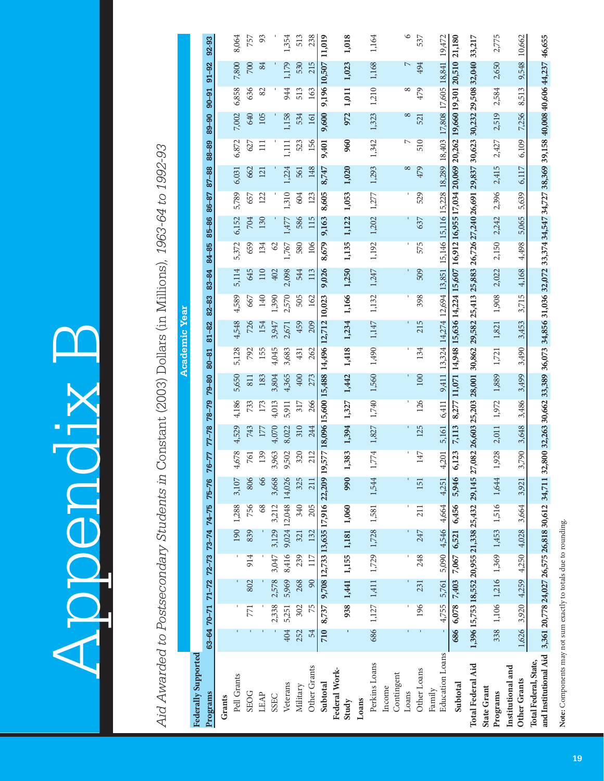Appendix B Appendix B

Aid Awarded to Postsecondary Students in Constant (2003) Dollars (in Millions), 1963-64 to 1992-93 *Aid Awarded to Postsecondary Students in* Constant (2003) Dollars (in Millions)*, 1963-64 to 1992-93*

|                                                                                                |                                                 |       |                                   |       |       |                                   |           |           |             |       |           |           | Academic Year                                                                                                          |           |                               |       |       |       |            |                |           |                   |           |         |
|------------------------------------------------------------------------------------------------|-------------------------------------------------|-------|-----------------------------------|-------|-------|-----------------------------------|-----------|-----------|-------------|-------|-----------|-----------|------------------------------------------------------------------------------------------------------------------------|-----------|-------------------------------|-------|-------|-------|------------|----------------|-----------|-------------------|-----------|---------|
| Federally Supported                                                                            |                                                 |       |                                   |       |       |                                   |           |           |             |       |           |           |                                                                                                                        |           |                               |       |       |       |            |                |           |                   |           |         |
| Programs                                                                                       | $63-6470-717127272373-7474$                     |       |                                   |       |       |                                   | $75 - 76$ | $76 - 77$ | 77-78 78-79 |       | $79 - 80$ | $80 - 81$ | $81 - 82$                                                                                                              | $82 - 83$ | 83-84                         | 84-85 | 85-86 | 86-87 | 87-88      | 88-89          | $89 - 90$ | $90 - 91$         | $91 - 92$ | 92-93   |
| Grants                                                                                         |                                                 |       |                                   |       |       |                                   |           |           |             |       |           |           |                                                                                                                        |           |                               |       |       |       |            |                |           |                   |           |         |
| Pell Grants                                                                                    |                                                 |       |                                   |       | 190   | 1,288                             | 3,107     | 4,678     | 4,529       | 4,186 | 5,650     | 5,128     | 4,548                                                                                                                  | 4,589     | 5,114                         | 5,372 | 6,152 | 5,789 | 6,031      | 6,872          | 7,002     | 6,858             | 7,800     | 8,064   |
| <b>SEOG</b>                                                                                    |                                                 | 771   | 802                               | 914   | 839   | 756                               | 806       | 761       | 743         | 733   | 811       | 792       | 726                                                                                                                    | 667       | 645                           | 659   | 704   | 657   | 662        | 627            | 640       | 636               | 700       | 757     |
| LEAP                                                                                           |                                                 |       |                                   |       |       | 68                                | 66        | 139       | 177         | 173   | 183       | 155       | 154                                                                                                                    | 140       | 110                           | 134   | 130   | 122   | 121        | $\Xi$          | 105       | 82                | 84        | 93      |
| <b>SSEC</b>                                                                                    |                                                 | 2,338 | 2,578                             | 3,047 | 3,129 | 3,212                             | 3,668     | 3,963     | 4,070       | 4,013 | 3,804     | 4,045     | 3,947                                                                                                                  | 1,390     | 402                           | 62    |       |       |            |                |           |                   |           |         |
| Veterans                                                                                       | 404                                             | 5,251 | 5,969                             | 8,416 |       | 9,024 12,048 14,026               |           | 9,502     | 8,022       | 5,911 | 4,365     | 3,683     | 2,671                                                                                                                  | 2,570     | 2,098                         | 1,767 | 1,477 | 1,310 | 1,224      | 1,111          | 1,158     | 944               | 1,179     | 1,354   |
| Military                                                                                       | 252                                             | 302   | 268                               | 239   | 321   | 340                               | 325       | 320       | 310         | 317   | 400       | 431       | 459                                                                                                                    | 505       | 544                           | 580   | 586   | 604   | 561        | 523            | 534       | 513               | 530       | 513     |
| Other Grants                                                                                   | 54                                              | 75    | 90                                | 117   | 132   | 205                               | 211       | 212       | 244         | 266   | 273       | 262       | 209                                                                                                                    | 162       | 113                           | 106   | 115   | 123   | 148        | 156            | 161       | 163               | 215       | 238     |
| Subtotal                                                                                       | 710                                             | 8,737 |                                   |       |       | 9,708 12,733 13,635 17,916 22,209 |           |           |             |       |           |           | 19,577 18,096 15,600 15,488 14,496 12,712 10,023                                                                       |           | 9,026                         | 8,679 | 9,163 | 8,605 | 8,747      | 9,401          | 9,600     | 9,196 10,507      |           | 11,019  |
| Federal Work-<br>Study                                                                         |                                                 |       | 938 1,441 1,155 1,181 1,060       |       |       |                                   | 990       | 1,383     | 1,394       | 1,327 | 1,442     | 1,418     | 1,234                                                                                                                  | 1,166     | 1,250                         | 1,135 | 1,122 | 1,053 | 1,020      | 960            | 972       | 1,011             | 1,023     | 1,018   |
| Loans                                                                                          |                                                 |       |                                   |       |       |                                   |           |           |             |       |           |           |                                                                                                                        |           |                               |       |       |       |            |                |           |                   |           |         |
| Perkins Loans                                                                                  |                                                 |       | 686 1,127 1,411 1,729 1,728 1,581 |       |       |                                   | 1,544     |           |             |       |           |           | 1,774 1,827 1,740 1,560 1,490 1,147 1,132                                                                              |           | 1,247 1,192 1,202 1,277 1,293 |       |       |       |            | 1,342          |           | 1,323 1,210 1,168 |           | 1,164   |
| Contingent<br>Income                                                                           |                                                 |       |                                   |       |       |                                   |           |           |             |       |           |           |                                                                                                                        |           |                               |       |       |       |            |                |           |                   |           |         |
| Loans                                                                                          |                                                 |       |                                   |       |       |                                   |           |           |             |       |           |           |                                                                                                                        |           |                               | I.    |       |       | $^{\circ}$ | $\overline{ }$ | $\infty$  | $\infty$          |           | $\circ$ |
| Other Loans                                                                                    |                                                 | 196   | 231                               | 248   | 247   | 211                               | 151       | 147       | 125         | 126   | 100       | 134       | 215                                                                                                                    | 398       | 509                           | 575   | 637   | 529   | 479        | 510            | 521       | 479               | 494       | 537     |
| <b>Education</b> Loans<br>Family                                                               |                                                 |       | 4,755 5,761 5,090 4,546 4,664     |       |       |                                   | 4,251     | 4.201     |             |       |           |           | 5.161 6.411 9.411 13.324 14.274 12.694 13.851 15.146 15.116 15.228 18.289 18.403 17.808 17.605 18.841 19.472           |           |                               |       |       |       |            |                |           |                   |           |         |
| Subtotal                                                                                       | 686 6,078 7,403                                 |       |                                   | 7,067 | 6,521 | 6,456                             | 5,946     | 6,123     | 7,113       |       |           |           | 8,277 11,071 14,948 15,636 14,224 15,607 16,912 16,955 17,034 20,069 20,262 19,660 19,301 20,510                       |           |                               |       |       |       |            |                |           |                   |           | 21,180  |
| <b>Total Federal Aid</b>                                                                       | 1,396 15,753 18,552 20,955 21,338 25,432 29,145 |       |                                   |       |       |                                   |           |           |             |       |           |           | 27,082 26,603 25,203 28,001 30,862 29,582 25,413 25,883 26,726 27,240 26,691 29,837 30,623 30,232 29,508 32,040 33,217 |           |                               |       |       |       |            |                |           |                   |           |         |
| <b>State Grant</b><br>Programs                                                                 |                                                 |       | 338 1,106 1,216 1,369 1,453 1,516 |       |       |                                   | 1,644     | 1,928     | 2,011       | 1,972 | 1,889     | 1,721     | 1,821                                                                                                                  | 1,908     | 2,022                         | 2,150 | 2,242 | 2,396 | 2,415      | 2,427          | 2,519     | 2,584             | 2,650     | 2,775   |
| Institutional and<br>Other Grants                                                              | 1,626                                           | 3,920 | 4,259                             | 4,250 | 4,028 | 3,664                             | 3,921     | 3,790     | 3,648       | 3,486 | 3,499     | 3,490     | 3,453                                                                                                                  | 3,715     | 4,168                         | 4,498 | 5,065 | 5,639 | 6,117      | 6,109          | 7,256     | 8,513             | 9,548     | 10,662  |
| and Institutional Aid 3,361 20,778 24,027 26,575 26,818 30,612 34,711<br>Total Federal, State, |                                                 |       |                                   |       |       |                                   |           |           |             |       |           |           | 32,800 32,263 30,662 33,389 36,073 34,856 31,036 32,072 33,374 34,547 34,727 38,369 39,158 40,008 40,606 44,237 46,655 |           |                               |       |       |       |            |                |           |                   |           |         |

Note: Components may not sum exactly to totals due to rounding. **Note:** Components may not sum exactly to totals due to rounding.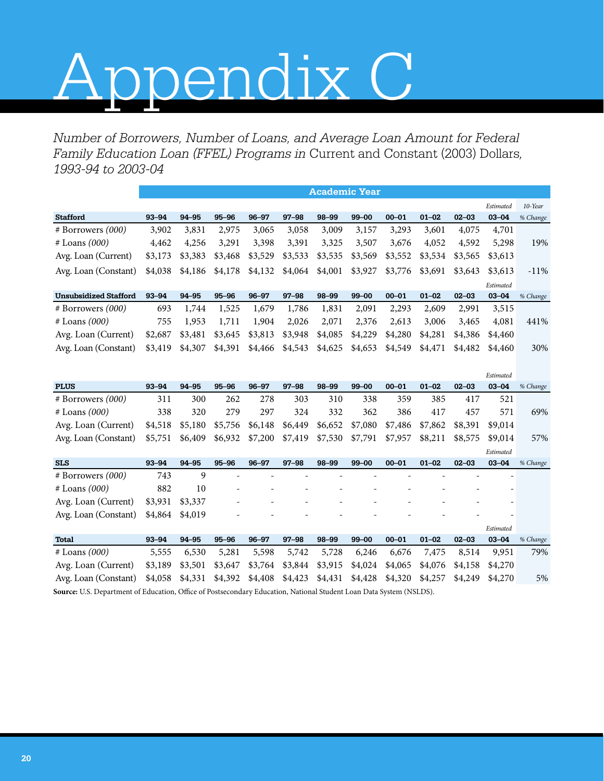# Appendix C

*Number of Borrowers, Number of Loans, and Average Loan Amount for Federal Family Education Loan (FFEL) Programs in* Current and Constant (2003) Dollars*, 1993-94 to 2003-04*

|                              |           |           |           |           |           | <b>Academic Year</b> |           |           |           |           |           |          |
|------------------------------|-----------|-----------|-----------|-----------|-----------|----------------------|-----------|-----------|-----------|-----------|-----------|----------|
|                              |           |           |           |           |           |                      |           |           |           |           | Estimated | 10-Year  |
| <b>Stafford</b>              | $93 - 94$ | $94 - 95$ | $95 - 96$ | $96 - 97$ | $97 - 98$ | 98-99                | $99 - 00$ | $00 - 01$ | $01 - 02$ | $02 - 03$ | $03 - 04$ | % Change |
| $#$ Borrowers $(000)$        | 3,902     | 3,831     | 2.975     | 3,065     | 3,058     | 3,009                | 3,157     | 3,293     | 3,601     | 4,075     | 4,701     |          |
| $#$ Loans $(000)$            | 4,462     | 4,256     | 3,291     | 3,398     | 3,391     | 3,325                | 3,507     | 3,676     | 4,052     | 4,592     | 5,298     | 19%      |
| Avg. Loan (Current)          | \$3,173   | \$3,383   | \$3,468   | \$3,529   | \$3,533   | \$3,535              | \$3,569   | \$3,552   | \$3,534   | \$3,565   | \$3,613   |          |
| Avg. Loan (Constant)         | \$4,038   | \$4,186   | \$4,178   | \$4,132   | \$4,064   | \$4,001              | \$3,927   | \$3,776   | \$3,691   | \$3,643   | \$3,613   | $-11\%$  |
|                              |           |           |           |           |           |                      |           |           |           |           | Estimated |          |
| <b>Unsubsidized Stafford</b> | $93 - 94$ | $94 - 95$ | $95 - 96$ | $96 - 97$ | $97 - 98$ | 98-99                | $99 - 00$ | $00 - 01$ | $01 - 02$ | $02 - 03$ | $03 - 04$ | % Change |
| $#$ Borrowers $(000)$        | 693       | 1,744     | 1,525     | 1,679     | 1,786     | 1,831                | 2,091     | 2,293     | 2,609     | 2,991     | 3,515     |          |
| $\#$ Loans (000)             | 755       | 1,953     | 1,711     | 1,904     | 2,026     | 2,071                | 2,376     | 2,613     | 3,006     | 3,465     | 4,081     | 441%     |
| Avg. Loan (Current)          | \$2,687   | \$3,481   | \$3,645   | \$3,813   | \$3,948   | \$4,085              | \$4,229   | \$4,280   | \$4,281   | \$4,386   | \$4,460   |          |
| Avg. Loan (Constant)         | \$3,419   | \$4,307   | \$4,391   | \$4,466   | \$4,543   | \$4,625              | \$4,653   | \$4,549   | \$4,471   | \$4,482   | \$4,460   | 30%      |

|                                                                                                                     |           |           |           |           |           |           |           |           |           |           | Estimated |          |
|---------------------------------------------------------------------------------------------------------------------|-----------|-----------|-----------|-----------|-----------|-----------|-----------|-----------|-----------|-----------|-----------|----------|
| <b>PLUS</b>                                                                                                         | $93 - 94$ | 94-95     | $95 - 96$ | $96 - 97$ | $97 - 98$ | 98-99     | $99 - 00$ | $00 - 01$ | $01 - 02$ | $02 - 03$ | $03 - 04$ | % Change |
| $#$ Borrowers $(000)$                                                                                               | 311       | 300       | 262       | 278       | 303       | 310       | 338       | 359       | 385       | 417       | 521       |          |
| $#$ Loans $(000)$                                                                                                   | 338       | 320       | 279       | 297       | 324       | 332       | 362       | 386       | 417       | 457       | 571       | 69%      |
| Avg. Loan (Current)                                                                                                 | \$4,518   | \$5,180   | \$5,756   | \$6,148   | \$6,449   | \$6,652   | \$7,080   | \$7,486   | \$7,862   | \$8,391   | \$9,014   |          |
| Avg. Loan (Constant)                                                                                                | \$5,751   | \$6,409   | \$6,932   | \$7,200   | \$7,419   | \$7,530   | \$7,791   | \$7,957   | \$8,211   | \$8,575   | \$9,014   | 57%      |
|                                                                                                                     |           |           |           |           |           |           |           |           |           |           | Estimated |          |
| <b>SLS</b>                                                                                                          | $93 - 94$ | 94-95     | $95 - 96$ | $96 - 97$ | $97 - 98$ | $98 - 99$ | $99 - 00$ | $00 - 01$ | $01 - 02$ | $02 - 03$ | $03 - 04$ | % Change |
| $#$ Borrowers $(000)$                                                                                               | 743       | 9         |           |           |           |           |           |           |           |           |           |          |
| $#$ Loans $(000)$                                                                                                   | 882       | 10        |           |           |           |           |           |           |           |           |           |          |
| Avg. Loan (Current)                                                                                                 | \$3,931   | \$3,337   |           |           |           |           | ۰         |           |           |           |           |          |
| Avg. Loan (Constant)                                                                                                | \$4,864   | \$4,019   |           |           |           |           |           |           |           |           |           |          |
|                                                                                                                     |           |           |           |           |           |           |           |           |           |           | Estimated |          |
| <b>Total</b>                                                                                                        | $93 - 94$ | $94 - 95$ | $95 - 96$ | $96 - 97$ | $97 - 98$ | $98 - 99$ | $99 - 00$ | $00 - 01$ | $01 - 02$ | $02 - 03$ | $03 - 04$ | % Change |
| $#$ Loans $(000)$                                                                                                   | 5,555     | 6,530     | 5,281     | 5,598     | 5,742     | 5,728     | 6,246     | 6,676     | 7,475     | 8,514     | 9,951     | 79%      |
| Avg. Loan (Current)                                                                                                 | \$3,189   | \$3,501   | \$3,647   | \$3,764   | \$3,844   | \$3,915   | \$4,024   | \$4,065   | \$4,076   | \$4,158   | \$4,270   |          |
| Avg. Loan (Constant)                                                                                                | \$4,058   | \$4,331   | \$4,392   | \$4,408   | \$4,423   | \$4,431   | \$4,428   | \$4,320   | \$4,257   | \$4,249   | \$4,270   | 5%       |
| Source: U.S. Department of Education, Office of Postsecondary Education, National Student Loan Data System (NSLDS). |           |           |           |           |           |           |           |           |           |           |           |          |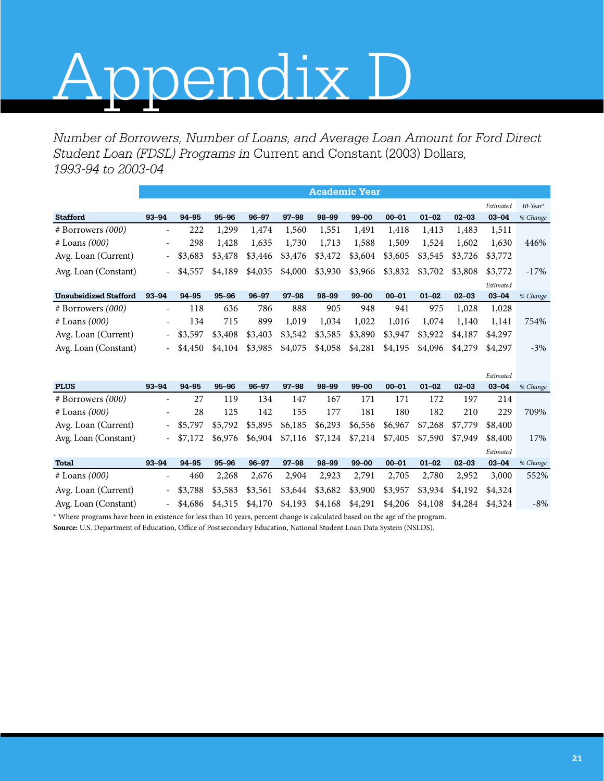# Appendix D

*Number of Borrowers, Number of Loans, and Average Loan Amount for Ford Direct Student Loan (FDSL) Programs in* Current and Constant (2003) Dollars*, 1993-94 to 2003-04* 

|                              |                          |           |           |           |           |         | <b>Academic Year</b> |           |           |           |           |             |
|------------------------------|--------------------------|-----------|-----------|-----------|-----------|---------|----------------------|-----------|-----------|-----------|-----------|-------------|
|                              |                          |           |           |           |           |         |                      |           |           |           | Estimated | $10$ -Year* |
| <b>Stafford</b>              | $93 - 94$                | $94 - 95$ | $95 - 96$ | $96 - 97$ | $97 - 98$ | 98-99   | $99 - 00$            | $00 - 01$ | $01 - 02$ | $02 - 03$ | $03 - 04$ | % Change    |
| $#$ Borrowers $(000)$        | $\overline{\phantom{a}}$ | 222       | 1,299     | 1,474     | 1,560     | 1,551   | 1,491                | 1,418     | 1,413     | 1,483     | 1,511     |             |
| $#$ Loans $(000)$            | $\overline{\phantom{a}}$ | 298       | 1,428     | 1,635     | 1,730     | 1,713   | 1,588                | 1,509     | 1,524     | 1,602     | 1,630     | 446%        |
| Avg. Loan (Current)          | $\overline{\phantom{a}}$ | \$3,683   | \$3,478   | \$3,446   | \$3,476   | \$3,472 | \$3,604              | \$3,605   | \$3,545   | \$3,726   | \$3,772   |             |
| Avg. Loan (Constant)         | $\sim$                   | \$4,557   | \$4,189   | \$4,035   | \$4,000   | \$3,930 | \$3,966              | \$3,832   | \$3,702   | \$3,808   | \$3,772   | $-17\%$     |
|                              |                          |           |           |           |           |         |                      |           |           |           | Estimated |             |
| <b>Unsubsidized Stafford</b> | $93 - 94$                | $94 - 95$ | $95 - 96$ | $96 - 97$ | $97 - 98$ | 98-99   | $99 - 00$            | $00 - 01$ | $01 - 02$ | $02 - 03$ | $03 - 04$ | % Change    |
| $#$ Borrowers $(000)$        | $\overline{\phantom{a}}$ | 118       | 636       | 786       | 888       | 905     | 948                  | 941       | 975       | 1,028     | 1,028     |             |
| $#$ Loans $(000)$            | $\overline{\phantom{a}}$ | 134       | 715       | 899       | 1,019     | 1,034   | 1,022                | 1,016     | 1,074     | 1,140     | 1,141     | 754%        |
| Avg. Loan (Current)          | $\sim$                   | \$3,597   | \$3,408   | \$3,403   | \$3,542   | \$3,585 | \$3,890              | \$3,947   | \$3,922   | \$4,187   | \$4,297   |             |
| Avg. Loan (Constant)         | $\sim$                   | \$4,450   | \$4,104   | \$3,985   | \$4,075   | \$4,058 | \$4,281              | \$4,195   | \$4,096   | \$4,279   | \$4,297   | $-3\%$      |
|                              |                          |           |           |           |           |         |                      |           |           |           |           |             |

|                       |                          |           |           |           |           |                 |           |           |           |           | Estimated |          |
|-----------------------|--------------------------|-----------|-----------|-----------|-----------|-----------------|-----------|-----------|-----------|-----------|-----------|----------|
| <b>PLUS</b>           | $93 - 94$                | $94 - 95$ | $95 - 96$ | $96 - 97$ | $97 - 98$ | 98-99           | $99 - 00$ | $00 - 01$ | $01 - 02$ | $02 - 03$ | $03 - 04$ | % Change |
| $#$ Borrowers $(000)$ |                          | 27        | 119       | 134       | 147       | 167             | 171       | 171       | 172       | 197       | 214       |          |
| $#$ Loans $(000)$     | ۰                        | 28        | 125       | 142       | 155       | 177             | 181       | 180       | 182       | 210       | 229       | 709%     |
| Avg. Loan (Current)   | $\sim$                   | \$5,797   | \$5,792   | \$5,895   | \$6,185   | \$6,293         | \$6,556   | \$6,967   | \$7,268   | \$7,779   | \$8,400   |          |
| Avg. Loan (Constant)  | $\sim$                   | \$7,172   | \$6,976   | \$6,904   |           | \$7,116 \$7,124 | \$7,214   | \$7,405   | \$7,590   | \$7,949   | \$8,400   | 17%      |
|                       |                          |           |           |           |           |                 |           |           |           |           | Estimated |          |
| <b>Total</b>          | $93 - 94$                | $94 - 95$ | $95 - 96$ | $96 - 97$ | $97 - 98$ | 98-99           | $99 - 00$ | $00 - 01$ | $01 - 02$ | $02 - 03$ | $03 - 04$ | % Change |
| $#$ Loans $(000)$     |                          | 460       | 2,268     | 2,676     | 2,904     | 2,923           | 2,791     | 2,705     | 2,780     | 2,952     | 3,000     | 552%     |
| Avg. Loan (Current)   | $\sim$                   | \$3,788   | \$3,583   | \$3,561   | \$3,644   | \$3,682         | \$3,900   | \$3,957   | \$3,934   | \$4,192   | \$4,324   |          |
| Avg. Loan (Constant)  | $\overline{\phantom{0}}$ | \$4,686   | \$4,315   | \$4,170   | \$4,193   | \$4,168         | \$4,291   | \$4,206   | \$4,108   | \$4,284   | \$4,324   | $-8\%$   |

\* Where programs have been in existence for less than 10 years, percent change is calculated based on the age of the program.

**Source:** U.S. Department of Education, Office of Postsecondary Education, National Student Loan Data System (NSLDS).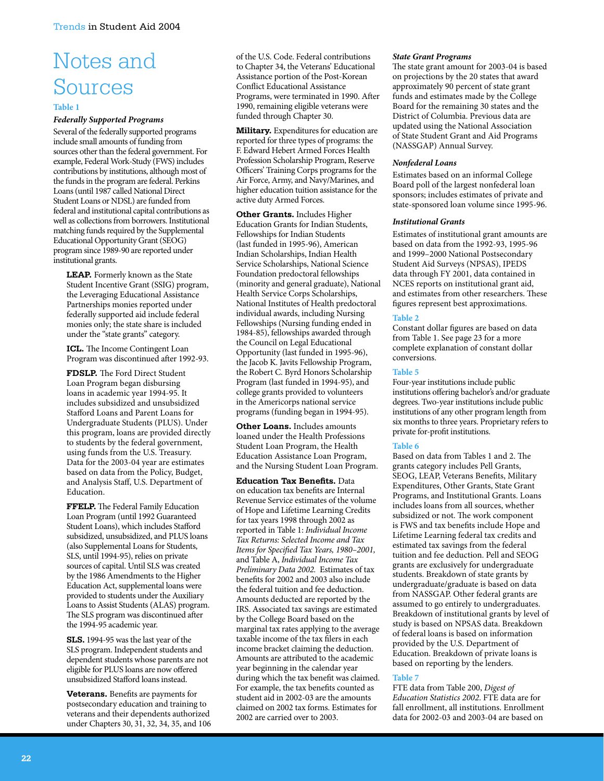# Notes and Sources

#### **Table 1**

#### *Federally Supported Programs*

Several of the federally supported programs include small amounts of funding from sources other than the federal government. For example, Federal Work-Study (FWS) includes contributions by institutions, although most of the funds in the program are federal. Perkins Loans (until 1987 called National Direct Student Loans or NDSL) are funded from federal and institutional capital contributions as well as collections from borrowers. Institutional matching funds required by the Supplemental Educational Opportunity Grant (SEOG) program since 1989-90 are reported under institutional grants.

**LEAP.** Formerly known as the State Student Incentive Grant (SSIG) program, the Leveraging Educational Assistance Partnerships monies reported under federally supported aid include federal monies only; the state share is included under the "state grants" category.

**ICL.** The Income Contingent Loan Program was discontinued after 1992-93.

**FDSLP.** The Ford Direct Student Loan Program began disbursing loans in academic year 1994-95. It includes subsidized and unsubsidized Stafford Loans and Parent Loans for Undergraduate Students (PLUS). Under this program, loans are provided directly to students by the federal government, using funds from the U.S. Treasury. Data for the 2003-04 year are estimates based on data from the Policy, Budget, and Analysis Staff, U.S. Department of Education.

**FFELP.** The Federal Family Education Loan Program (until 1992 Guaranteed Student Loans), which includes Stafford subsidized, unsubsidized, and PLUS loans (also Supplemental Loans for Students, SLS, until 1994-95), relies on private sources of capital. Until SLS was created by the 1986 Amendments to the Higher Education Act, supplemental loans were provided to students under the Auxiliary Loans to Assist Students (ALAS) program. The SLS program was discontinued after the 1994-95 academic year.

**SLS.** 1994-95 was the last year of the SLS program. Independent students and dependent students whose parents are not eligible for PLUS loans are now offered unsubsidized Stafford loans instead.

**Veterans.** Benefits are payments for postsecondary education and training to veterans and their dependents authorized under Chapters 30, 31, 32, 34, 35, and 106 of the U.S. Code. Federal contributions to Chapter 34, the Veterans' Educational Assistance portion of the Post-Korean Conflict Educational Assistance Programs, were terminated in 1990. After 1990, remaining eligible veterans were funded through Chapter 30.

**Military.** Expenditures for education are reported for three types of programs: the F. Edward Hebert Armed Forces Health Profession Scholarship Program, Reserve Officers' Training Corps programs for the Air Force, Army, and Navy/Marines, and higher education tuition assistance for the active duty Armed Forces.

**Other Grants.** Includes Higher Education Grants for Indian Students, Fellowships for Indian Students (last funded in 1995-96), American Indian Scholarships, Indian Health Service Scholarships, National Science Foundation predoctoral fellowships (minority and general graduate), National Health Service Corps Scholarships, National Institutes of Health predoctoral individual awards, including Nursing Fellowships (Nursing funding ended in 1984-85), fellowships awarded through the Council on Legal Educational Opportunity (last funded in 1995-96), the Jacob K. Javits Fellowship Program, the Robert C. Byrd Honors Scholarship Program (last funded in 1994-95), and college grants provided to volunteers in the Americorps national service programs (funding began in 1994-95).

**Other Loans.** Includes amounts loaned under the Health Professions Student Loan Program, the Health Education Assistance Loan Program, and the Nursing Student Loan Program.

**Education Tax Benefits.** Data on education tax benefits are Internal Revenue Service estimates of the volume of Hope and Lifetime Learning Credits for tax years 1998 through 2002 as reported in Table 1: *Individual Income Tax Returns: Selected Income and Tax Items for Specified Tax Years, 1980–2001,*  and Table A, *Individual Income Tax Preliminary Data 2002.* Estimates of tax benefits for 2002 and 2003 also include the federal tuition and fee deduction. Amounts deducted are reported by the IRS. Associated tax savings are estimated by the College Board based on the marginal tax rates applying to the average taxable income of the tax filers in each income bracket claiming the deduction. Amounts are attributed to the academic year beginning in the calendar year during which the tax benefit was claimed. For example, the tax benefits counted as student aid in 2002-03 are the amounts claimed on 2002 tax forms. Estimates for 2002 are carried over to 2003.

#### *State Grant Programs*

The state grant amount for 2003-04 is based on projections by the 20 states that award approximately 90 percent of state grant funds and estimates made by the College Board for the remaining 30 states and the District of Columbia. Previous data are updated using the National Association of State Student Grant and Aid Programs (NASSGAP) Annual Survey.

#### *Nonfederal Loans*

Estimates based on an informal College Board poll of the largest nonfederal loan sponsors; includes estimates of private and state-sponsored loan volume since 1995-96.

#### *Institutional Grants*

Estimates of institutional grant amounts are based on data from the 1992-93, 1995-96 and 1999–2000 National Postsecondary Student Aid Surveys (NPSAS), IPEDS data through FY 2001, data contained in NCES reports on institutional grant aid, and estimates from other researchers. These figures represent best approximations.

#### **Table 2**

Constant dollar figures are based on data from Table 1. See page 23 for a more complete explanation of constant dollar conversions.

#### **Table 5**

Four-year institutions include public institutions offering bachelor's and/or graduate degrees. Two-year institutions include public institutions of any other program length from six months to three years. Proprietary refers to private for-profit institutions.

#### **Table 6**

Based on data from Tables 1 and 2. The grants category includes Pell Grants, SEOG, LEAP, Veterans Benefits, Military Expenditures, Other Grants, State Grant Programs, and Institutional Grants. Loans includes loans from all sources, whether subsidized or not. The work component is FWS and tax benefits include Hope and Lifetime Learning federal tax credits and estimated tax savings from the federal tuition and fee deduction. Pell and SEOG grants are exclusively for undergraduate students. Breakdown of state grants by undergraduate/graduate is based on data from NASSGAP. Other federal grants are assumed to go entirely to undergraduates. Breakdown of institutional grants by level of study is based on NPSAS data. Breakdown of federal loans is based on information provided by the U.S. Department of Education. Breakdown of private loans is based on reporting by the lenders.

#### **Table 7**

FTE data from Table 200, *Digest of Education Statistics 2002*. FTE data are for fall enrollment, all institutions. Enrollment data for 2002-03 and 2003-04 are based on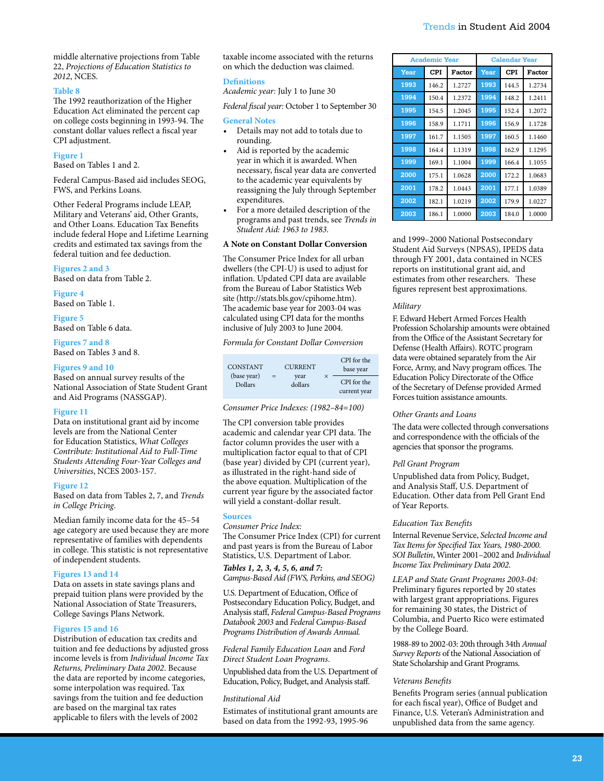#### **Table 8**

The 1992 reauthorization of the Higher Education Act eliminated the percent cap on college costs beginning in 1993-94. The constant dollar values reflect a fiscal year CPI adjustment.

#### **Figure 1**

Based on Tables 1 and 2.

Federal Campus-Based aid includes SEOG, FWS, and Perkins Loans.

Other Federal Programs include LEAP, Military and Veterans' aid, Other Grants, and Other Loans. Education Tax Benefits include federal Hope and Lifetime Learning credits and estimated tax savings from the federal tuition and fee deduction.

#### **Figures 2 and 3**

Based on data from Table 2.

**Figure 4** Based on Table 1.

**Figure 5**  Based on Table 6 data.

**Figures 7 and 8**

Based on Tables 3 and 8.

#### **Figures 9 and 10**

Based on annual survey results of the National Association of State Student Grant and Aid Programs (NASSGAP).

#### **Figure 11**

Data on institutional grant aid by income levels are from the National Center for Education Statistics, *What Colleges Contribute: Institutional Aid to Full-Time Students Attending Four-Year Colleges and Universities*, NCES 2003-157.

#### **Figure 12**

Based on data from Tables 2, 7, and *Trends in College Pricing*.

Median family income data for the 45–54 age category are used because they are more representative of families with dependents in college. This statistic is not representative of independent students.

#### **Figures 13 and 14**

Data on assets in state savings plans and prepaid tuition plans were provided by the National Association of State Treasurers, College Savings Plans Network.

#### **Figures 15 and 16**

Distribution of education tax credits and tuition and fee deductions by adjusted gross income levels is from *Individual Income Tax Returns, Preliminary Data 2002*. Because the data are reported by income categories, some interpolation was required. Tax savings from the tuition and fee deduction are based on the marginal tax rates applicable to filers with the levels of 2002

taxable income associated with the returns on which the deduction was claimed.

#### **Definitions**

*Academic year:* July 1 to June 30

*Federal fiscal year:* October 1 to September 30

#### **General Notes**

- Details may not add to totals due to rounding.
- Aid is reported by the academic year in which it is awarded. When necessary, fiscal year data are converted to the academic year equivalents by reassigning the July through September expenditures.
- For a more detailed description of the programs and past trends, see *Trends in Student Aid: 1963 to 1983.*

#### **A Note on Constant Dollar Conversion**

The Consumer Price Index for all urban dwellers (the CPI-U) is used to adjust for inflation. Updated CPI data are available from the Bureau of Labor Statistics Web site (http://stats.bls.gov/cpihome.htm). The academic base year for 2003-04 was calculated using CPI data for the months inclusive of July 2003 to June 2004.

*Formula for Constant Dollar Conversion*

| <b>CONSTANT</b>        |     | <b>CURRENT</b>  | CPI for the<br>base year    |
|------------------------|-----|-----------------|-----------------------------|
| (base year)<br>Dollars | $=$ | year<br>dollars | CPI for the<br>current year |

#### *Consumer Price Indexes: (1982–84=100)*

The CPI conversion table provides academic and calendar year CPI data. The factor column provides the user with a multiplication factor equal to that of CPI (base year) divided by CPI (current year), as illustrated in the right-hand side of the above equation. Multiplication of the current year figure by the associated factor will yield a constant-dollar result.

#### **Sources**

*Consumer Price Index:* The Consumer Price Index (CPI) for current and past years is from the Bureau of Labor Statistics, U.S. Department of Labor.

*Tables 1, 2, 3, 4, 5, 6, and 7: Campus-Based Aid (FWS, Perkins, and SEOG)*

U.S. Department of Education, Office of Postsecondary Education Policy, Budget, and Analysis staff, *Federal Campus-Based Programs Databook 2003* and *Federal Campus-Based Programs Distribution of Awards Annual.*

*Federal Family Education Loan* and *Ford Direct Student Loan Programs*.

Unpublished data from the U.S. Department of Education, Policy, Budget, and Analysis staff.

#### *Institutional Aid*

Estimates of institutional grant amounts are based on data from the 1992-93, 1995-96

#### Trends in Student Aid 2004

|      | <b>Academic Year</b> |        |      | <b>Calendar Year</b> |        |
|------|----------------------|--------|------|----------------------|--------|
| Year | <b>CPI</b>           | Factor | Year | <b>CPI</b>           | Factor |
| 1993 | 146.2                | 1.2727 | 1993 | 144.5                | 1.2734 |
| 1994 | 150.4                | 1.2372 | 1994 | 148.2                | 1.2411 |
| 1995 | 154.5                | 1.2045 | 1995 | 152.4                | 1.2072 |
| 1996 | 158.9                | 1.1711 | 1996 | 156.9                | 1.1728 |
| 1997 | 161.7                | 1.1505 | 1997 | 160.5                | 1.1460 |
| 1998 | 164.4                | 1.1319 | 1998 | 162.9                | 1.1295 |
| 1999 | 169.1                | 1.1004 | 1999 | 166.4                | 1.1055 |
| 2000 | 175.1                | 1.0628 | 2000 | 172.2                | 1.0683 |
| 2001 | 178.2                | 1.0443 | 2001 | 177.1                | 1.0389 |
| 2002 | 182.1                | 1.0219 | 2002 | 179.9                | 1.0227 |
| 2003 | 186.1                | 1.0000 | 2003 | 184.0                | 1.0000 |

and 1999–2000 National Postsecondary Student Aid Surveys (NPSAS), IPEDS data through FY 2001, data contained in NCES reports on institutional grant aid, and estimates from other researchers. These figures represent best approximations.

#### *Military*

F. Edward Hebert Armed Forces Health Profession Scholarship amounts were obtained from the Office of the Assistant Secretary for Defense (Health Affairs). ROTC program data were obtained separately from the Air Force, Army, and Navy program offices. The Education Policy Directorate of the Office of the Secretary of Defense provided Armed Forces tuition assistance amounts.

#### *Other Grants and Loans*

The data were collected through conversations and correspondence with the officials of the agencies that sponsor the programs.

#### *Pell Grant Program*

Unpublished data from Policy, Budget, and Analysis Staff, U.S. Department of Education. Other data from Pell Grant End of Year Reports.

#### *Education Tax Benefits*

Internal Revenue Service, *Selected Income and Tax Items for Specified Tax Years, 1980-2000. SOI Bulletin*, Winter 2001–2002 and *Individual Income Tax Preliminary Data 2002*.

*LEAP and State Grant Programs 2003-04:* Preliminary figures reported by 20 states with largest grant appropriations. Figures for remaining 30 states, the District of Columbia, and Puerto Rico were estimated by the College Board.

1988-89 to 2002-03: 20th through 34th *Annual Survey Reports* of the National Association of State Scholarship and Grant Programs.

#### *Veterans Benefits*

Benefits Program series (annual publication for each fiscal year), Office of Budget and Finance, U.S. Veteran's Administration and unpublished data from the same agency.